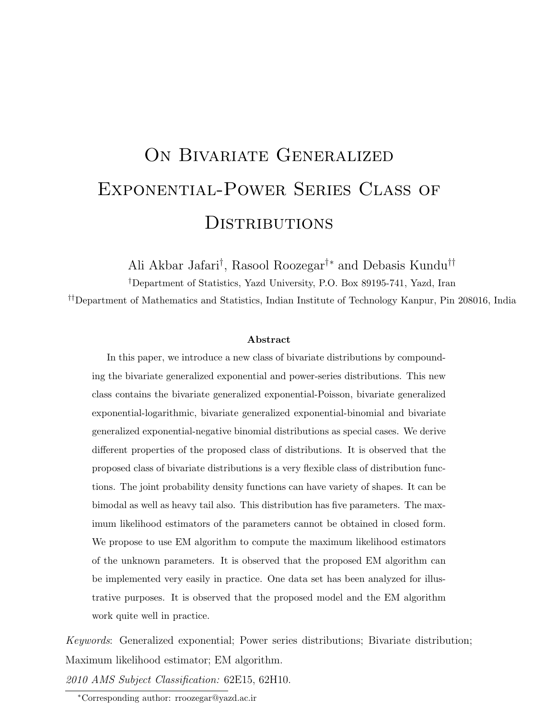# ON BIVARIATE GENERALIZED Exponential-Power Series Class of **DISTRIBUTIONS**

Ali Akbar Jafari† , Rasool Roozegar†∗ and Debasis Kundu††

†Department of Statistics, Yazd University, P.O. Box 89195-741, Yazd, Iran

††Department of Mathematics and Statistics, Indian Institute of Technology Kanpur, Pin 208016, India

#### Abstract

In this paper, we introduce a new class of bivariate distributions by compounding the bivariate generalized exponential and power-series distributions. This new class contains the bivariate generalized exponential-Poisson, bivariate generalized exponential-logarithmic, bivariate generalized exponential-binomial and bivariate generalized exponential-negative binomial distributions as special cases. We derive different properties of the proposed class of distributions. It is observed that the proposed class of bivariate distributions is a very flexible class of distribution functions. The joint probability density functions can have variety of shapes. It can be bimodal as well as heavy tail also. This distribution has five parameters. The maximum likelihood estimators of the parameters cannot be obtained in closed form. We propose to use EM algorithm to compute the maximum likelihood estimators of the unknown parameters. It is observed that the proposed EM algorithm can be implemented very easily in practice. One data set has been analyzed for illustrative purposes. It is observed that the proposed model and the EM algorithm work quite well in practice.

Keywords: Generalized exponential; Power series distributions; Bivariate distribution; Maximum likelihood estimator; EM algorithm.

2010 AMS Subject Classification: 62E15, 62H10.

<sup>∗</sup>Corresponding author: rroozegar@yazd.ac.ir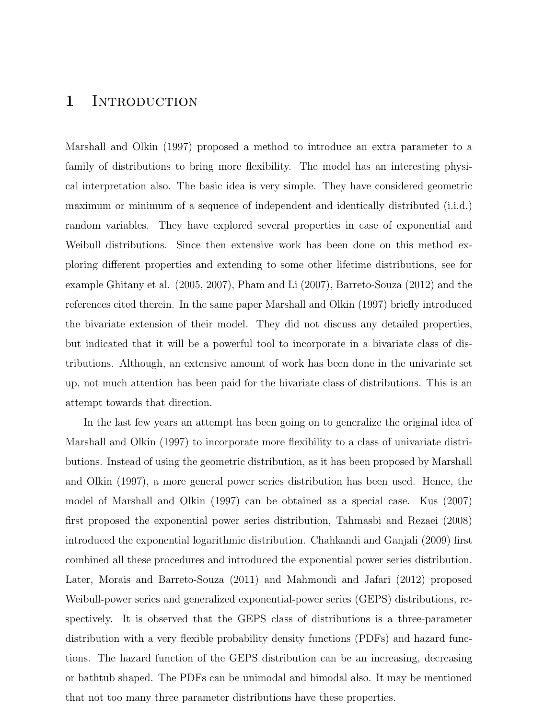### 1 INTRODUCTION

Marshall and Olkin (1997) proposed a method to introduce an extra parameter to a family of distributions to bring more flexibility. The model has an interesting physical interpretation also. The basic idea is very simple. They have considered geometric maximum or minimum of a sequence of independent and identically distributed (i.i.d.) random variables. They have explored several properties in case of exponential and Weibull distributions. Since then extensive work has been done on this method exploring different properties and extending to some other lifetime distributions, see for example Ghitany et al. (2005, 2007), Pham and Li (2007), Barreto-Souza (2012) and the references cited therein. In the same paper Marshall and Olkin (1997) briefly introduced the bivariate extension of their model. They did not discuss any detailed properties, but indicated that it will be a powerful tool to incorporate in a bivariate class of distributions. Although, an extensive amount of work has been done in the univariate set up, not much attention has been paid for the bivariate class of distributions. This is an attempt towards that direction.

In the last few years an attempt has been going on to generalize the original idea of Marshall and Olkin (1997) to incorporate more flexibility to a class of univariate distributions. Instead of using the geometric distribution, as it has been proposed by Marshall and Olkin (1997), a more general power series distribution has been used. Hence, the model of Marshall and Olkin (1997) can be obtained as a special case. Kus (2007) first proposed the exponential power series distribution, Tahmasbi and Rezaei (2008) introduced the exponential logarithmic distribution. Chahkandi and Ganjali (2009) first combined all these procedures and introduced the exponential power series distribution. Later, Morais and Barreto-Souza (2011) and Mahmoudi and Jafari (2012) proposed Weibull-power series and generalized exponential-power series (GEPS) distributions, respectively. It is observed that the GEPS class of distributions is a three-parameter distribution with a very flexible probability density functions (PDFs) and hazard functions. The hazard function of the GEPS distribution can be an increasing, decreasing or bathtub shaped. The PDFs can be unimodal and bimodal also. It may be mentioned that not too many three parameter distributions have these properties.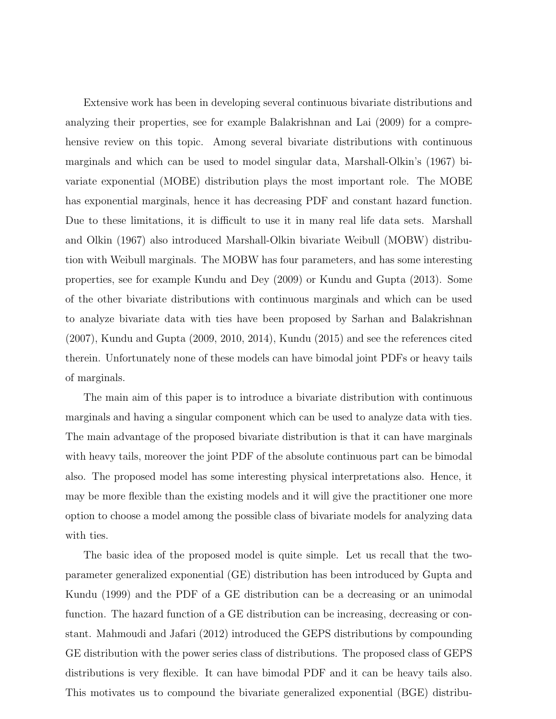Extensive work has been in developing several continuous bivariate distributions and analyzing their properties, see for example Balakrishnan and Lai (2009) for a comprehensive review on this topic. Among several bivariate distributions with continuous marginals and which can be used to model singular data, Marshall-Olkin's (1967) bivariate exponential (MOBE) distribution plays the most important role. The MOBE has exponential marginals, hence it has decreasing PDF and constant hazard function. Due to these limitations, it is difficult to use it in many real life data sets. Marshall and Olkin (1967) also introduced Marshall-Olkin bivariate Weibull (MOBW) distribution with Weibull marginals. The MOBW has four parameters, and has some interesting properties, see for example Kundu and Dey (2009) or Kundu and Gupta (2013). Some of the other bivariate distributions with continuous marginals and which can be used to analyze bivariate data with ties have been proposed by Sarhan and Balakrishnan (2007), Kundu and Gupta (2009, 2010, 2014), Kundu (2015) and see the references cited therein. Unfortunately none of these models can have bimodal joint PDFs or heavy tails of marginals.

The main aim of this paper is to introduce a bivariate distribution with continuous marginals and having a singular component which can be used to analyze data with ties. The main advantage of the proposed bivariate distribution is that it can have marginals with heavy tails, moreover the joint PDF of the absolute continuous part can be bimodal also. The proposed model has some interesting physical interpretations also. Hence, it may be more flexible than the existing models and it will give the practitioner one more option to choose a model among the possible class of bivariate models for analyzing data with ties.

The basic idea of the proposed model is quite simple. Let us recall that the twoparameter generalized exponential (GE) distribution has been introduced by Gupta and Kundu (1999) and the PDF of a GE distribution can be a decreasing or an unimodal function. The hazard function of a GE distribution can be increasing, decreasing or constant. Mahmoudi and Jafari (2012) introduced the GEPS distributions by compounding GE distribution with the power series class of distributions. The proposed class of GEPS distributions is very flexible. It can have bimodal PDF and it can be heavy tails also. This motivates us to compound the bivariate generalized exponential (BGE) distribu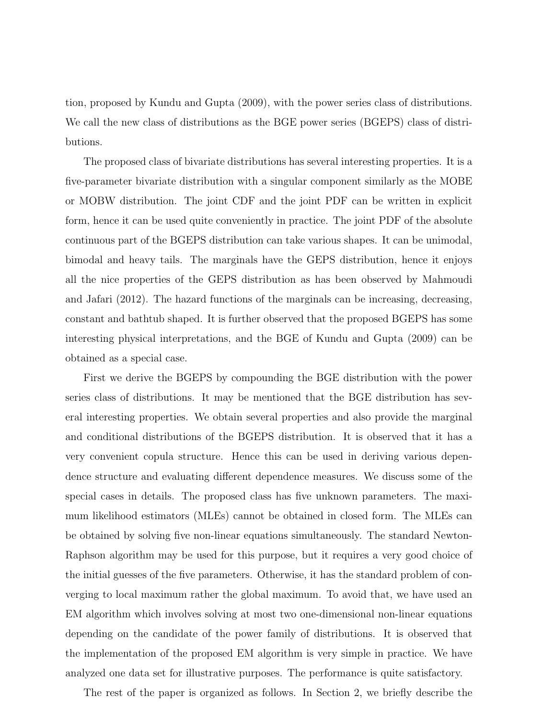tion, proposed by Kundu and Gupta (2009), with the power series class of distributions. We call the new class of distributions as the BGE power series (BGEPS) class of distributions.

The proposed class of bivariate distributions has several interesting properties. It is a five-parameter bivariate distribution with a singular component similarly as the MOBE or MOBW distribution. The joint CDF and the joint PDF can be written in explicit form, hence it can be used quite conveniently in practice. The joint PDF of the absolute continuous part of the BGEPS distribution can take various shapes. It can be unimodal, bimodal and heavy tails. The marginals have the GEPS distribution, hence it enjoys all the nice properties of the GEPS distribution as has been observed by Mahmoudi and Jafari (2012). The hazard functions of the marginals can be increasing, decreasing, constant and bathtub shaped. It is further observed that the proposed BGEPS has some interesting physical interpretations, and the BGE of Kundu and Gupta (2009) can be obtained as a special case.

First we derive the BGEPS by compounding the BGE distribution with the power series class of distributions. It may be mentioned that the BGE distribution has several interesting properties. We obtain several properties and also provide the marginal and conditional distributions of the BGEPS distribution. It is observed that it has a very convenient copula structure. Hence this can be used in deriving various dependence structure and evaluating different dependence measures. We discuss some of the special cases in details. The proposed class has five unknown parameters. The maximum likelihood estimators (MLEs) cannot be obtained in closed form. The MLEs can be obtained by solving five non-linear equations simultaneously. The standard Newton-Raphson algorithm may be used for this purpose, but it requires a very good choice of the initial guesses of the five parameters. Otherwise, it has the standard problem of converging to local maximum rather the global maximum. To avoid that, we have used an EM algorithm which involves solving at most two one-dimensional non-linear equations depending on the candidate of the power family of distributions. It is observed that the implementation of the proposed EM algorithm is very simple in practice. We have analyzed one data set for illustrative purposes. The performance is quite satisfactory.

The rest of the paper is organized as follows. In Section 2, we briefly describe the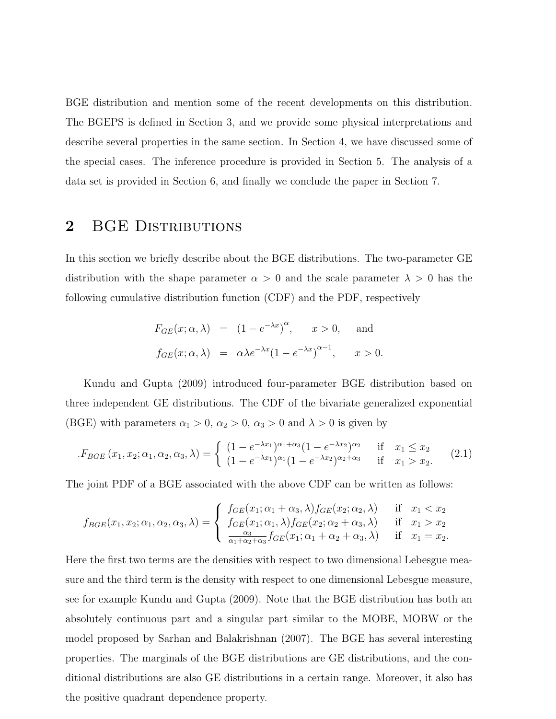BGE distribution and mention some of the recent developments on this distribution. The BGEPS is defined in Section 3, and we provide some physical interpretations and describe several properties in the same section. In Section 4, we have discussed some of the special cases. The inference procedure is provided in Section 5. The analysis of a data set is provided in Section 6, and finally we conclude the paper in Section 7.

# 2 BGE DISTRIBUTIONS

In this section we briefly describe about the BGE distributions. The two-parameter GE distribution with the shape parameter  $\alpha > 0$  and the scale parameter  $\lambda > 0$  has the following cumulative distribution function (CDF) and the PDF, respectively

$$
F_{GE}(x; \alpha, \lambda) = (1 - e^{-\lambda x})^{\alpha}, \quad x > 0, \text{ and}
$$
  

$$
f_{GE}(x; \alpha, \lambda) = \alpha \lambda e^{-\lambda x} (1 - e^{-\lambda x})^{\alpha - 1}, \quad x > 0.
$$

Kundu and Gupta (2009) introduced four-parameter BGE distribution based on three independent GE distributions. The CDF of the bivariate generalized exponential (BGE) with parameters  $\alpha_1 > 0$ ,  $\alpha_2 > 0$ ,  $\alpha_3 > 0$  and  $\lambda > 0$  is given by

$$
F_{BGE}(x_1, x_2; \alpha_1, \alpha_2, \alpha_3, \lambda) = \begin{cases} (1 - e^{-\lambda x_1})^{\alpha_1 + \alpha_3} (1 - e^{-\lambda x_2})^{\alpha_2} & \text{if } x_1 \le x_2 \\ (1 - e^{-\lambda x_1})^{\alpha_1} (1 - e^{-\lambda x_2})^{\alpha_2 + \alpha_3} & \text{if } x_1 > x_2. \end{cases} (2.1)
$$

The joint PDF of a BGE associated with the above CDF can be written as follows:

$$
f_{BGE}(x_1, x_2; \alpha_1, \alpha_2, \alpha_3, \lambda) = \begin{cases} f_{GE}(x_1; \alpha_1 + \alpha_3, \lambda) f_{GE}(x_2; \alpha_2, \lambda) & \text{if } x_1 < x_2 \\ f_{GE}(x_1; \alpha_1, \lambda) f_{GE}(x_2; \alpha_2 + \alpha_3, \lambda) & \text{if } x_1 > x_2 \\ \frac{\alpha_3}{\alpha_1 + \alpha_2 + \alpha_3} f_{GE}(x_1; \alpha_1 + \alpha_2 + \alpha_3, \lambda) & \text{if } x_1 = x_2. \end{cases}
$$

Here the first two terms are the densities with respect to two dimensional Lebesgue measure and the third term is the density with respect to one dimensional Lebesgue measure, see for example Kundu and Gupta (2009). Note that the BGE distribution has both an absolutely continuous part and a singular part similar to the MOBE, MOBW or the model proposed by Sarhan and Balakrishnan (2007). The BGE has several interesting properties. The marginals of the BGE distributions are GE distributions, and the conditional distributions are also GE distributions in a certain range. Moreover, it also has the positive quadrant dependence property.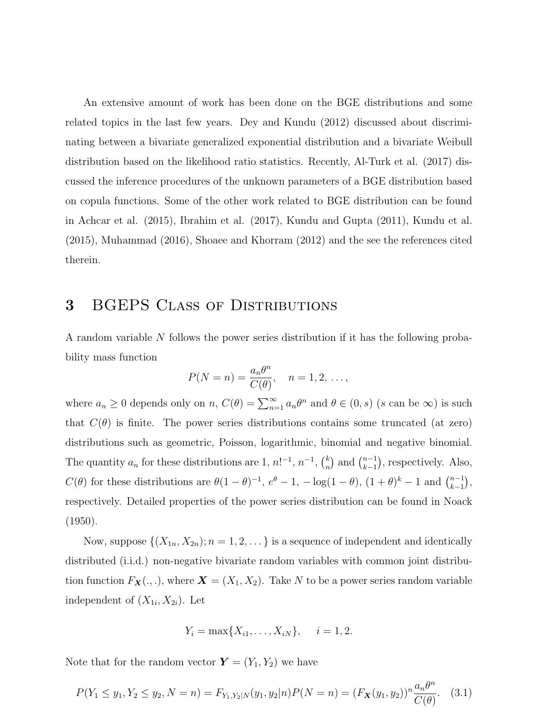An extensive amount of work has been done on the BGE distributions and some related topics in the last few years. Dey and Kundu (2012) discussed about discriminating between a bivariate generalized exponential distribution and a bivariate Weibull distribution based on the likelihood ratio statistics. Recently, Al-Turk et al. (2017) discussed the inference procedures of the unknown parameters of a BGE distribution based on copula functions. Some of the other work related to BGE distribution can be found in Achcar et al. (2015), Ibrahim et al. (2017), Kundu and Gupta (2011), Kundu et al. (2015), Muhammad (2016), Shoaee and Khorram (2012) and the see the references cited therein.

### 3 BGEPS Class of Distributions

A random variable N follows the power series distribution if it has the following probability mass function

$$
P(N = n) = \frac{a_n \theta^n}{C(\theta)}, \quad n = 1, 2, \dots,
$$

where  $a_n \geq 0$  depends only on  $n, C(\theta) = \sum_{n=1}^{\infty} a_n \theta^n$  and  $\theta \in (0, s)$  (s can be  $\infty$ ) is such that  $C(\theta)$  is finite. The power series distributions contains some truncated (at zero) distributions such as geometric, Poisson, logarithmic, binomial and negative binomial. The quantity  $a_n$  for these distributions are 1,  $n!^{-1}$ ,  $n^{-1}$ ,  $\binom{k}{n}$  $\binom{k}{n}$  and  $\binom{n-1}{k-1}$  $_{k-1}^{n-1}$ , respectively. Also,  $C(\theta)$  for these distributions are  $\theta(1-\theta)^{-1}$ ,  $e^{\theta}-1$ ,  $-\log(1-\theta)$ ,  $(1+\theta)^{k}-1$  and  $\binom{n-1}{k-1}$  $_{k-1}^{n-1}),$ respectively. Detailed properties of the power series distribution can be found in Noack (1950).

Now, suppose  $\{(X_{1n}, X_{2n}); n = 1, 2, \dots\}$  is a sequence of independent and identically distributed (i.i.d.) non-negative bivariate random variables with common joint distribution function  $F_{\mathbf{X}}(.,.)$ , where  $\mathbf{X} = (X_1, X_2)$ . Take N to be a power series random variable independent of  $(X_{1i}, X_{2i})$ . Let

$$
Y_i = \max\{X_{i1}, \ldots, X_{iN}\}, \quad i = 1, 2.
$$

Note that for the random vector  $\mathbf{Y} = (Y_1, Y_2)$  we have

$$
P(Y_1 \le y_1, Y_2 \le y_2, N = n) = F_{Y_1, Y_2|N}(y_1, y_2|n)P(N = n) = (F_X(y_1, y_2))^n \frac{a_n \theta^n}{C(\theta)}. \quad (3.1)
$$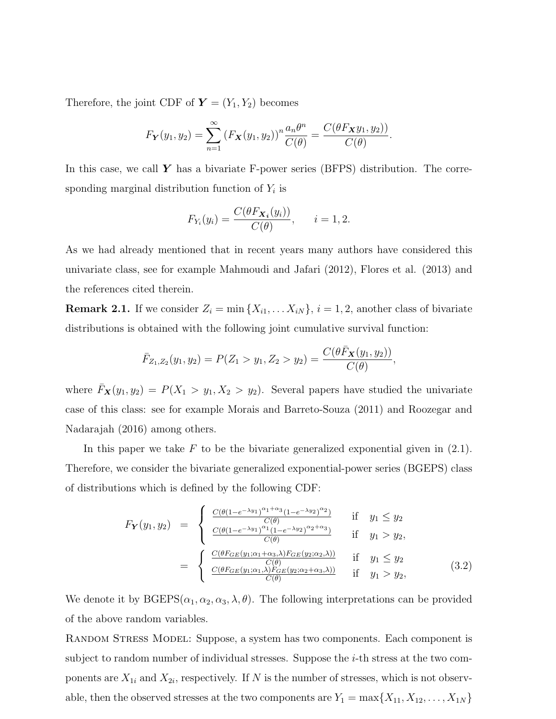Therefore, the joint CDF of  $\mathbf{Y} = (Y_1, Y_2)$  becomes

$$
F_{\mathbf{Y}}(y_1, y_2) = \sum_{n=1}^{\infty} \left( F_{\mathbf{X}}(y_1, y_2) \right)^n \frac{a_n \theta^n}{C(\theta)} = \frac{C(\theta F_{\mathbf{X}} y_1, y_2)}{C(\theta)}.
$$

In this case, we call  $\boldsymbol{Y}$  has a bivariate F-power series (BFPS) distribution. The corresponding marginal distribution function of  $Y_i$  is

$$
F_{Y_i}(y_i) = \frac{C(\theta F_{\mathbf{X}_i}(y_i))}{C(\theta)}, \quad i = 1, 2.
$$

As we had already mentioned that in recent years many authors have considered this univariate class, see for example Mahmoudi and Jafari (2012), Flores et al. (2013) and the references cited therein.

**Remark 2.1.** If we consider  $Z_i = \min\{X_{i1}, \ldots X_{iN}\}, i = 1, 2$ , another class of bivariate distributions is obtained with the following joint cumulative survival function:

$$
\bar{F}_{Z_1,Z_2}(y_1,y_2)=P(Z_1>y_1,Z_2>y_2)=\frac{C(\theta\bar{F}_{\mathbf{X}}(y_1,y_2))}{C(\theta)},
$$

where  $\bar{F}_{\mathbf{X}}(y_1, y_2) = P(X_1 > y_1, X_2 > y_2)$ . Several papers have studied the univariate case of this class: see for example Morais and Barreto-Souza (2011) and Roozegar and Nadarajah (2016) among others.

In this paper we take  $F$  to be the bivariate generalized exponential given in  $(2.1)$ . Therefore, we consider the bivariate generalized exponential-power series (BGEPS) class of distributions which is defined by the following CDF:

$$
F_{\mathbf{Y}}(y_1, y_2) = \begin{cases} \frac{C(\theta(1-e^{-\lambda y_1})^{\alpha_1+\alpha_3}(1-e^{-\lambda y_2})^{\alpha_2})}{C(\theta)} & \text{if } y_1 \leq y_2\\ \frac{C(\theta(1-e^{-\lambda y_1})^{\alpha_1}(1-e^{-\lambda y_2})^{\alpha_2+\alpha_3})}{C(\theta)} & \text{if } y_1 > y_2, \end{cases}
$$
  

$$
= \begin{cases} \frac{C(\theta F_{GE}(y_1; \alpha_1+\alpha_3, \lambda)F_{GE}(y_2; \alpha_2, \lambda))}{C(\theta)} & \text{if } y_1 \leq y_2\\ \frac{C(\theta F_{GE}(y_1; \alpha_1, \lambda)F_{GE}(y_2; \alpha_2+\alpha_3, \lambda))}{C(\theta)} & \text{if } y_1 > y_2, \end{cases}
$$
(3.2)

We denote it by  $BGEPS(\alpha_1, \alpha_2, \alpha_3, \lambda, \theta)$ . The following interpretations can be provided of the above random variables.

RANDOM STRESS MODEL: Suppose, a system has two components. Each component is subject to random number of individual stresses. Suppose the i-th stress at the two components are  $X_{1i}$  and  $X_{2i}$ , respectively. If N is the number of stresses, which is not observable, then the observed stresses at the two components are  $Y_1 = \max\{X_{11}, X_{12}, \ldots, X_{1N}\}\$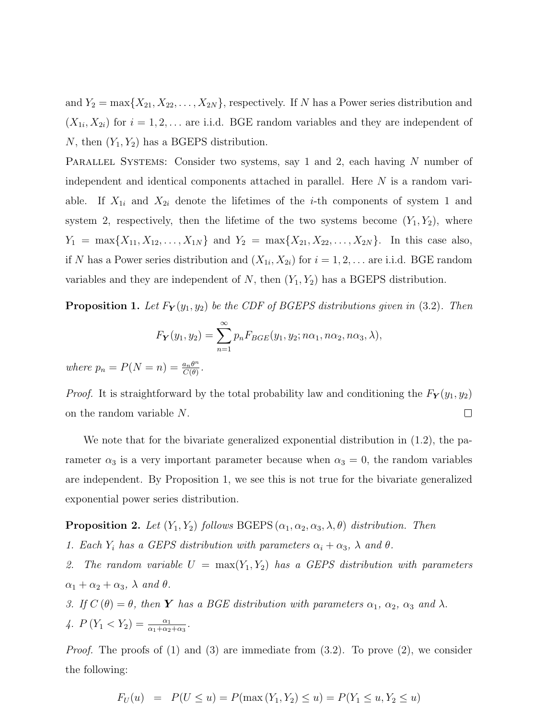and  $Y_2 = \max\{X_{21}, X_{22}, \ldots, X_{2N}\}\$ , respectively. If N has a Power series distribution and  $(X_{1i}, X_{2i})$  for  $i = 1, 2, \ldots$  are i.i.d. BGE random variables and they are independent of N, then  $(Y_1, Y_2)$  has a BGEPS distribution.

PARALLEL SYSTEMS: Consider two systems, say 1 and 2, each having N number of independent and identical components attached in parallel. Here N is a random variable. If  $X_{1i}$  and  $X_{2i}$  denote the lifetimes of the *i*-th components of system 1 and system 2, respectively, then the lifetime of the two systems become  $(Y_1, Y_2)$ , where  $Y_1 = \max\{X_{11}, X_{12}, \ldots, X_{1N}\}\$ and  $Y_2 = \max\{X_{21}, X_{22}, \ldots, X_{2N}\}\$ . In this case also, if N has a Power series distribution and  $(X_{1i}, X_{2i})$  for  $i = 1, 2, \ldots$  are i.i.d. BGE random variables and they are independent of  $N$ , then  $(Y_1, Y_2)$  has a BGEPS distribution.

**Proposition 1.** Let  $F_Y(y_1, y_2)$  be the CDF of BGEPS distributions given in (3.2). Then

$$
F_Y(y_1, y_2) = \sum_{n=1}^{\infty} p_n F_{BGE}(y_1, y_2; n\alpha_1, n\alpha_2, n\alpha_3, \lambda),
$$

where  $p_n = P(N = n) = \frac{a_n \theta^n}{C(\theta)}$  $\frac{a_n\theta^n}{C(\theta)}$  .

*Proof.* It is straightforward by the total probability law and conditioning the  $F_Y(y_1, y_2)$ on the random variable N.  $\Box$ 

We note that for the bivariate generalized exponential distribution in (1.2), the parameter  $\alpha_3$  is a very important parameter because when  $\alpha_3 = 0$ , the random variables are independent. By Proposition 1, we see this is not true for the bivariate generalized exponential power series distribution.

**Proposition 2.** Let  $(Y_1, Y_2)$  follows BGEPS  $(\alpha_1, \alpha_2, \alpha_3, \lambda, \theta)$  distribution. Then

1. Each  $Y_i$  has a GEPS distribution with parameters  $\alpha_i + \alpha_3$ ,  $\lambda$  and  $\theta$ .

2. The random variable  $U = \max(Y_1, Y_2)$  has a GEPS distribution with parameters  $\alpha_1 + \alpha_2 + \alpha_3$ ,  $\lambda$  and  $\theta$ .

3. If  $C(\theta) = \theta$ , then **Y** has a BGE distribution with parameters  $\alpha_1$ ,  $\alpha_2$ ,  $\alpha_3$  and  $\lambda$ . 4.  $P(Y_1 < Y_2) = \frac{\alpha_1}{\alpha_1 + \alpha_2 + \alpha_3}$ .

*Proof.* The proofs of  $(1)$  and  $(3)$  are immediate from  $(3.2)$ . To prove  $(2)$ , we consider the following:

$$
F_U(u) = P(U \le u) = P(\max(Y_1, Y_2) \le u) = P(Y_1 \le u, Y_2 \le u)
$$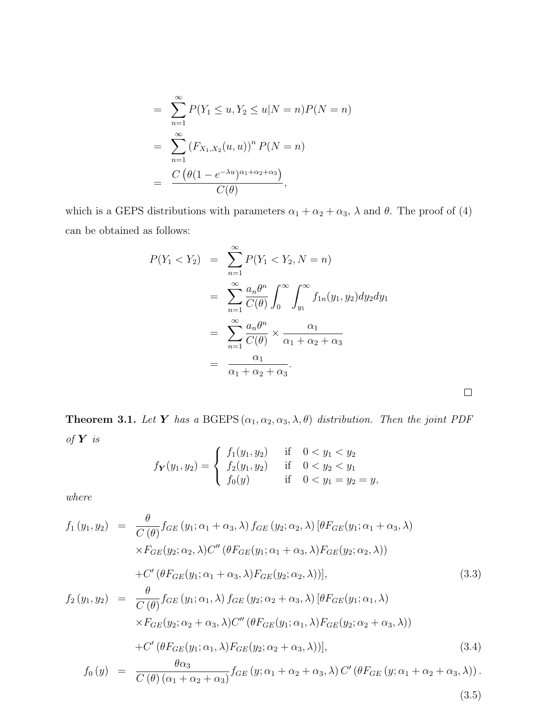$$
= \sum_{n=1}^{\infty} P(Y_1 \le u, Y_2 \le u | N = n) P(N = n)
$$
  
= 
$$
\sum_{n=1}^{\infty} (F_{X_1, X_2}(u, u))^n P(N = n)
$$
  
= 
$$
\frac{C (\theta (1 - e^{-\lambda u})^{\alpha_1 + \alpha_2 + \alpha_3})}{C(\theta)},
$$

which is a GEPS distributions with parameters  $\alpha_1 + \alpha_2 + \alpha_3$ ,  $\lambda$  and  $\theta$ . The proof of (4) can be obtained as follows:

$$
P(Y_1 < Y_2) = \sum_{n=1}^{\infty} P(Y_1 < Y_2, N = n)
$$
\n
$$
= \sum_{n=1}^{\infty} \frac{a_n \theta^n}{C(\theta)} \int_0^{\infty} \int_{y_1}^{\infty} f_{1n}(y_1, y_2) dy_2 dy_1
$$
\n
$$
= \sum_{n=1}^{\infty} \frac{a_n \theta^n}{C(\theta)} \times \frac{\alpha_1}{\alpha_1 + \alpha_2 + \alpha_3}
$$
\n
$$
= \frac{\alpha_1}{\alpha_1 + \alpha_2 + \alpha_3}.
$$

 $\Box$ 

**Theorem 3.1.** Let **Y** has a BGEPS  $(\alpha_1, \alpha_2, \alpha_3, \lambda, \theta)$  distribution. Then the joint PDF of  $Y$  is

$$
f_{\mathbf{Y}}(y_1, y_2) = \begin{cases} f_1(y_1, y_2) & \text{if } 0 < y_1 < y_2 \\ f_2(y_1, y_2) & \text{if } 0 < y_2 < y_1 \\ f_0(y) & \text{if } 0 < y_1 = y_2 = y, \end{cases}
$$

where

$$
f_1(y_1, y_2) = \frac{\theta}{C(\theta)} f_{GE}(y_1; \alpha_1 + \alpha_3, \lambda) f_{GE}(y_2; \alpha_2, \lambda) [\theta F_{GE}(y_1; \alpha_1 + \alpha_3, \lambda)
$$
  
\n
$$
\times F_{GE}(y_2; \alpha_2, \lambda) C'' (\theta F_{GE}(y_1; \alpha_1 + \alpha_3, \lambda) F_{GE}(y_2; \alpha_2, \lambda))
$$
  
\n+ C' (\theta F\_{GE}(y\_1; \alpha\_1 + \alpha\_3, \lambda) F\_{GE}(y\_2; \alpha\_2, \lambda))], (3.3)  
\n
$$
f_2(y_1, y_2) = \frac{\theta}{C(\theta)} f_{GE}(y_1; \alpha_1, \lambda) f_{GE}(y_2; \alpha_2 + \alpha_3, \lambda) [\theta F_{GE}(y_1; \alpha_1, \lambda)
$$
  
\n
$$
\times F_{GE}(y_2; \alpha_2 + \alpha_3, \lambda) C'' (\theta F_{GE}(y_1; \alpha_1, \lambda) F_{GE}(y_2; \alpha_2 + \alpha_3, \lambda))
$$
  
\n+ C' (\theta F\_{GE}(y\_1; \alpha\_1, \lambda) F\_{GE}(y\_2; \alpha\_2 + \alpha\_3, \lambda))], (3.4)  
\n
$$
f_0(y) = \frac{\theta \alpha_3}{C(\theta)(\alpha_1 + \alpha_2 + \alpha_3)} f_{GE}(y; \alpha_1 + \alpha_2 + \alpha_3, \lambda) C' (\theta F_{GE}(y; \alpha_1 + \alpha_2 + \alpha_3, \lambda)).
$$
  
\n(3.5)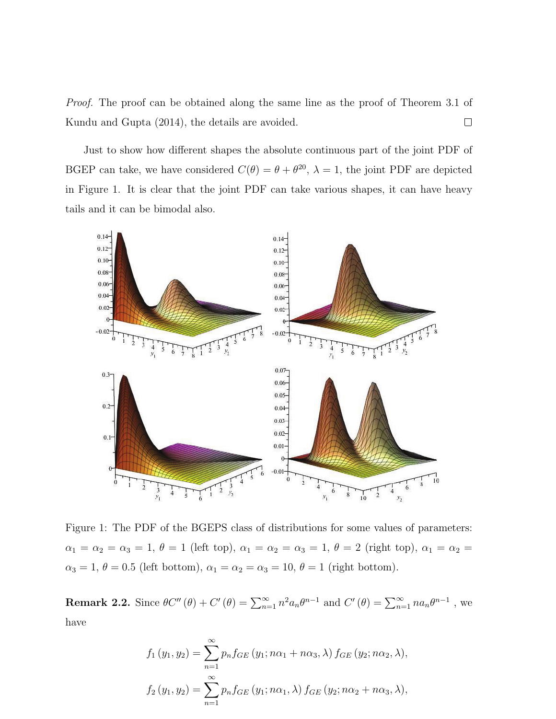Proof. The proof can be obtained along the same line as the proof of Theorem 3.1 of Kundu and Gupta (2014), the details are avoided.  $\Box$ 

Just to show how different shapes the absolute continuous part of the joint PDF of BGEP can take, we have considered  $C(\theta) = \theta + \theta^{20}$ ,  $\lambda = 1$ , the joint PDF are depicted in Figure 1. It is clear that the joint PDF can take various shapes, it can have heavy tails and it can be bimodal also.



Figure 1: The PDF of the BGEPS class of distributions for some values of parameters:  $\alpha_1 = \alpha_2 = \alpha_3 = 1, \ \theta = 1$  (left top),  $\alpha_1 = \alpha_2 = \alpha_3 = 1, \ \theta = 2$  (right top),  $\alpha_1 = \alpha_2 =$  $\alpha_3 = 1, \theta = 0.5$  (left bottom),  $\alpha_1 = \alpha_2 = \alpha_3 = 10, \theta = 1$  (right bottom).

**Remark 2.2.** Since  $\theta C''(\theta) + C'(\theta) = \sum_{n=1}^{\infty} n^2 a_n \theta^{n-1}$  and  $C'(\theta) = \sum_{n=1}^{\infty} n a_n \theta^{n-1}$ , we have

$$
f_1(y_1, y_2) = \sum_{n=1}^{\infty} p_n f_{GE}(y_1; n\alpha_1 + n\alpha_3, \lambda) f_{GE}(y_2; n\alpha_2, \lambda),
$$
  

$$
f_2(y_1, y_2) = \sum_{n=1}^{\infty} p_n f_{GE}(y_1; n\alpha_1, \lambda) f_{GE}(y_2; n\alpha_2 + n\alpha_3, \lambda),
$$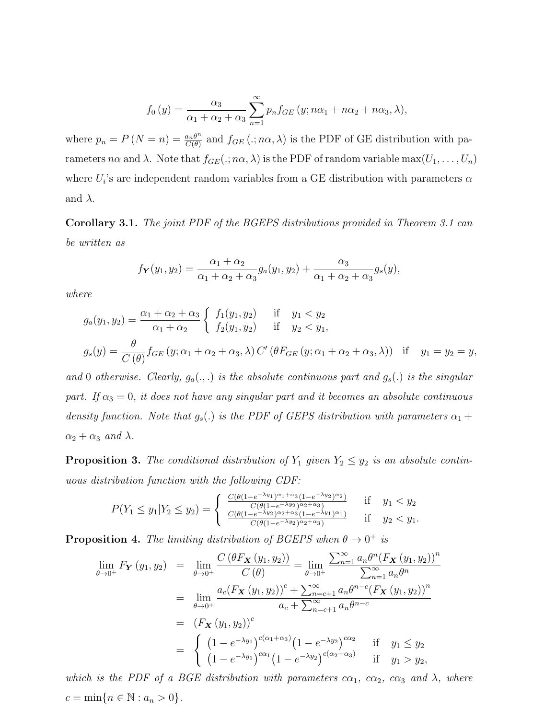$$
f_0(y) = \frac{\alpha_3}{\alpha_1 + \alpha_2 + \alpha_3} \sum_{n=1}^{\infty} p_n f_{GE}(y; n\alpha_1 + n\alpha_2 + n\alpha_3, \lambda),
$$

where  $p_n = P(N = n) = \frac{a_n \theta^n}{C(\theta)}$  $\frac{a_n\theta^n}{C(\theta)}$  and  $f_{GE}(., n\alpha, \lambda)$  is the PDF of GE distribution with parameters n $\alpha$  and  $\lambda$ . Note that  $f_{GE}(., n\alpha, \lambda)$  is the PDF of random variable max $(U_1, \ldots, U_n)$ where  $U_i$ 's are independent random variables from a GE distribution with parameters  $\alpha$ and  $\lambda$ .

Corollary 3.1. The joint PDF of the BGEPS distributions provided in Theorem 3.1 can be written as

$$
f_{\mathbf{Y}}(y_1, y_2) = \frac{\alpha_1 + \alpha_2}{\alpha_1 + \alpha_2 + \alpha_3} g_a(y_1, y_2) + \frac{\alpha_3}{\alpha_1 + \alpha_2 + \alpha_3} g_s(y),
$$

where

$$
g_a(y_1, y_2) = \frac{\alpha_1 + \alpha_2 + \alpha_3}{\alpha_1 + \alpha_2} \begin{cases} f_1(y_1, y_2) & \text{if } y_1 < y_2 \\ f_2(y_1, y_2) & \text{if } y_2 < y_1, \end{cases}
$$
  

$$
g_s(y) = \frac{\theta}{C(\theta)} f_{GE}(y; \alpha_1 + \alpha_2 + \alpha_3, \lambda) C' (\theta F_{GE}(y; \alpha_1 + \alpha_2 + \alpha_3, \lambda)) \text{ if } y_1 = y_2 = y,
$$

and 0 otherwise. Clearly,  $g_a(.,.)$  is the absolute continuous part and  $g_s(.)$  is the singular part. If  $\alpha_3 = 0$ , it does not have any singular part and it becomes an absolute continuous density function. Note that  $g_s(.)$  is the PDF of GEPS distribution with parameters  $\alpha_1 +$  $\alpha_2 + \alpha_3$  and  $\lambda$ .

**Proposition 3.** The conditional distribution of  $Y_1$  given  $Y_2 \leq y_2$  is an absolute continuous distribution function with the following CDF:

$$
P(Y_1 \le y_1 | Y_2 \le y_2) = \begin{cases} \frac{C(\theta(1 - e^{-\lambda y_1})^{\alpha_1 + \alpha_3}(1 - e^{-\lambda y_2})^{\alpha_2})}{C(\theta(1 - e^{-\lambda y_2})^{\alpha_2 + \alpha_3})} & \text{if } y_1 < y_2\\ \frac{C(\theta(1 - e^{-\lambda y_2})^{\alpha_2 + \alpha_3}(1 - e^{-\lambda y_1})^{\alpha_1})}{C(\theta(1 - e^{-\lambda y_2})^{\alpha_2 + \alpha_3})} & \text{if } y_2 < y_1. \end{cases}
$$

**Proposition 4.** The limiting distribution of BGEPS when  $\theta \to 0^+$  is

$$
\lim_{\theta \to 0^{+}} F_{\mathbf{Y}}(y_1, y_2) = \lim_{\theta \to 0^{+}} \frac{C(\theta F_{\mathbf{X}}(y_1, y_2))}{C(\theta)} = \lim_{\theta \to 0^{+}} \frac{\sum_{n=1}^{\infty} a_n \theta^n (F_{\mathbf{X}}(y_1, y_2))^n}{\sum_{n=1}^{\infty} a_n \theta^n}
$$
\n
$$
= \lim_{\theta \to 0^{+}} \frac{a_c (F_{\mathbf{X}}(y_1, y_2))^c + \sum_{n=c+1}^{\infty} a_n \theta^{n-c} (F_{\mathbf{X}}(y_1, y_2))^n}{a_c + \sum_{n=c+1}^{\infty} a_n \theta^{n-c}}
$$
\n
$$
= (F_{\mathbf{X}}(y_1, y_2))^c
$$
\n
$$
= \begin{cases} (1 - e^{-\lambda y_1})^{c(\alpha_1 + \alpha_3)} (1 - e^{-\lambda y_2})^{c\alpha_2} & \text{if } y_1 \le y_2 \\ (1 - e^{-\lambda y_1})^{c\alpha_1} (1 - e^{-\lambda y_2})^{c(\alpha_2 + \alpha_3)} & \text{if } y_1 > y_2, \end{cases}
$$

which is the PDF of a BGE distribution with parameters  $c\alpha_1$ ,  $c\alpha_2$ ,  $c\alpha_3$  and  $\lambda$ , where  $c = \min\{n \in \mathbb{N} : a_n > 0\}.$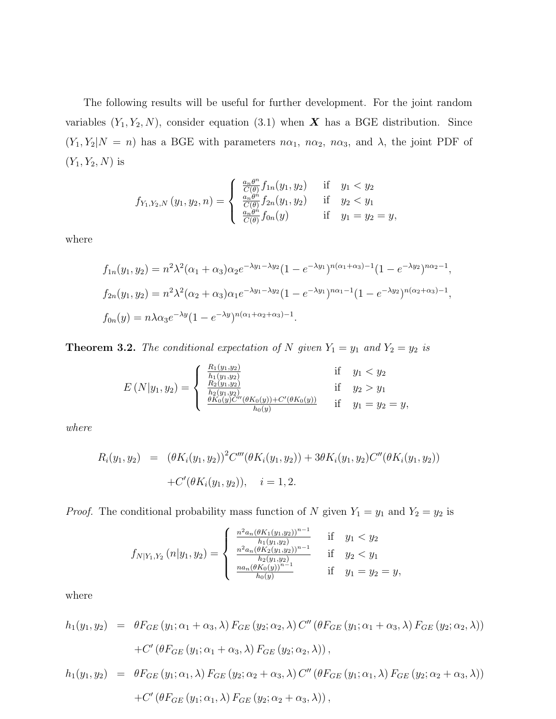The following results will be useful for further development. For the joint random variables  $(Y_1, Y_2, N)$ , consider equation (3.1) when **X** has a BGE distribution. Since  $(Y_1, Y_2|N = n)$  has a BGE with parameters  $n\alpha_1$ ,  $n\alpha_2$ ,  $n\alpha_3$ , and  $\lambda$ , the joint PDF of  $(Y_1, Y_2, N)$  is

$$
f_{Y_1, Y_2, N}(y_1, y_2, n) = \begin{cases} \frac{a_n \theta^n}{C(\theta)} f_{1n}(y_1, y_2) & \text{if } y_1 < y_2\\ \frac{a_n \theta^n}{C(\theta)} f_{2n}(y_1, y_2) & \text{if } y_2 < y_1\\ \frac{a_n \theta^n}{C(\theta)} f_{0n}(y) & \text{if } y_1 = y_2 = y, \end{cases}
$$

where

$$
f_{1n}(y_1, y_2) = n^2 \lambda^2 (\alpha_1 + \alpha_3) \alpha_2 e^{-\lambda y_1 - \lambda y_2} (1 - e^{-\lambda y_1})^{n(\alpha_1 + \alpha_3) - 1} (1 - e^{-\lambda y_2})^{n\alpha_2 - 1},
$$
  
\n
$$
f_{2n}(y_1, y_2) = n^2 \lambda^2 (\alpha_2 + \alpha_3) \alpha_1 e^{-\lambda y_1 - \lambda y_2} (1 - e^{-\lambda y_1})^{n\alpha_1 - 1} (1 - e^{-\lambda y_2})^{n(\alpha_2 + \alpha_3) - 1},
$$
  
\n
$$
f_{0n}(y) = n \lambda \alpha_3 e^{-\lambda y} (1 - e^{-\lambda y})^{n(\alpha_1 + \alpha_2 + \alpha_3) - 1}.
$$

**Theorem 3.2.** The conditional expectation of N given  $Y_1 = y_1$  and  $Y_2 = y_2$  is

$$
E\left(N|y_1, y_2\right) = \begin{cases} \frac{R_1(y_1, y_2)}{h_1(y_1, y_2)} & \text{if } y_1 < y_2\\ \frac{R_2(y_1, y_2)}{h_2(y_1, y_2)} & \text{if } y_2 > y_1\\ \frac{\theta K_0(y)C''(\theta K_0(y)) + C'(\theta K_0(y))}{h_0(y)} & \text{if } y_1 = y_2 = y, \end{cases}
$$

where

$$
R_i(y_1, y_2) = (\theta K_i(y_1, y_2))^2 C'''(\theta K_i(y_1, y_2)) + 3\theta K_i(y_1, y_2) C''(\theta K_i(y_1, y_2))
$$
  
+ 
$$
C'(\theta K_i(y_1, y_2)), \quad i = 1, 2.
$$

*Proof.* The conditional probability mass function of N given  $Y_1 = y_1$  and  $Y_2 = y_2$  is

$$
f_{N|Y_1,Y_2}(n|y_1,y_2) = \begin{cases} \frac{n^2 a_n (\theta K_1(y_1,y_2))^{n-1}}{h_1(y_1,y_2)} & \text{if } y_1 < y_2\\ \frac{n^2 a_n (\theta K_2(y_1,y_2))^{n-1}}{h_2(y_1,y_2)} & \text{if } y_2 < y_1\\ \frac{n a_n (\theta K_0(y))^{n-1}}{h_0(y)} & \text{if } y_1 = y_2 = y, \end{cases}
$$

where

$$
h_1(y_1, y_2) = \theta F_{GE}(y_1; \alpha_1 + \alpha_3, \lambda) F_{GE}(y_2; \alpha_2, \lambda) C'' \left(\theta F_{GE}(y_1; \alpha_1 + \alpha_3, \lambda) F_{GE}(y_2; \alpha_2, \lambda)\right)
$$

$$
+ C' \left(\theta F_{GE}(y_1; \alpha_1 + \alpha_3, \lambda) F_{GE}(y_2; \alpha_2, \lambda)\right),
$$

$$
h_1(y_1, y_2) = \theta F_{GE}(y_1; \alpha_1, \lambda) F_{GE}(y_2; \alpha_2 + \alpha_3, \lambda) C'' \left(\theta F_{GE}(y_1; \alpha_1, \lambda) F_{GE}(y_2; \alpha_2 + \alpha_3, \lambda)\right)
$$

$$
+C' \left(\theta F_{GE}\left(y_1;\alpha_1,\lambda\right)F_{GE}\left(y_2;\alpha_2+\alpha_3,\lambda\right)\right),\,
$$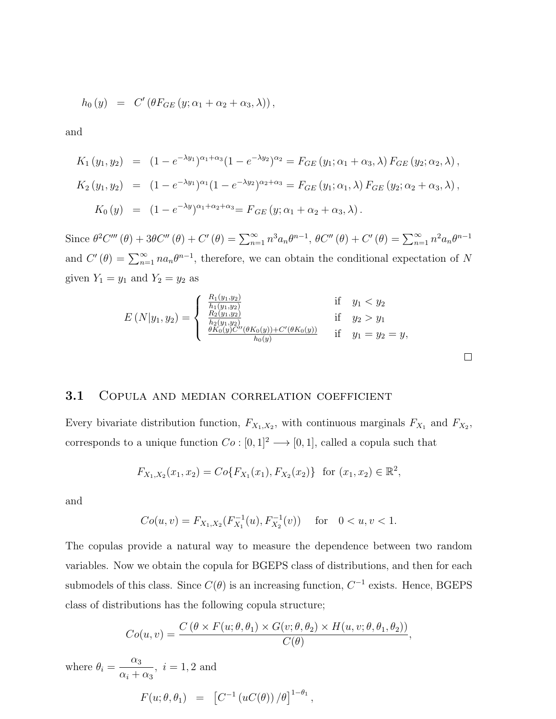$$
h_0(y) = C'(\theta F_{GE}(y; \alpha_1 + \alpha_2 + \alpha_3, \lambda)),
$$

and

$$
K_1(y_1, y_2) = (1 - e^{-\lambda y_1})^{\alpha_1 + \alpha_3} (1 - e^{-\lambda y_2})^{\alpha_2} = F_{GE}(y_1; \alpha_1 + \alpha_3, \lambda) F_{GE}(y_2; \alpha_2, \lambda),
$$
  
\n
$$
K_2(y_1, y_2) = (1 - e^{-\lambda y_1})^{\alpha_1} (1 - e^{-\lambda y_2})^{\alpha_2 + \alpha_3} = F_{GE}(y_1; \alpha_1, \lambda) F_{GE}(y_2; \alpha_2 + \alpha_3, \lambda),
$$
  
\n
$$
K_0(y) = (1 - e^{-\lambda y})^{\alpha_1 + \alpha_2 + \alpha_3} = F_{GE}(y; \alpha_1 + \alpha_2 + \alpha_3, \lambda).
$$

Since  $\theta^2 C''''(\theta) + 3\theta C''(\theta) + C'(\theta) = \sum_{n=1}^{\infty} n^3 a_n \theta^{n-1}, \ \theta C''(\theta) + C'(\theta) = \sum_{n=1}^{\infty} n^2 a_n \theta^{n-1}$ and  $C'(\theta) = \sum_{n=1}^{\infty} n a_n \theta^{n-1}$ , therefore, we can obtain the conditional expectation of N given  $Y_1 = y_1$  and  $Y_2 = y_2$  as

$$
E(N|y_1, y_2) = \begin{cases} \frac{R_1(y_1, y_2)}{h_1(y_1, y_2)} & \text{if } y_1 < y_2\\ \frac{R_2(y_1, y_2)}{h_2(y_1, y_2)} & \text{if } y_2 > y_1\\ \frac{\theta K_0(y)C''(\theta K_0(y)) + C'(\theta K_0(y))}{h_0(y)} & \text{if } y_1 = y_2 = y, \end{cases}
$$

 $\Box$ 

#### 3.1 COPULA AND MEDIAN CORRELATION COEFFICIENT

Every bivariate distribution function,  $F_{X_1,X_2}$ , with continuous marginals  $F_{X_1}$  and  $F_{X_2}$ , corresponds to a unique function  $Co: [0, 1]^2 \longrightarrow [0, 1]$ , called a copula such that

$$
F_{X_1,X_2}(x_1,x_2) = Co\{F_{X_1}(x_1), F_{X_2}(x_2)\} \text{ for } (x_1,x_2) \in \mathbb{R}^2,
$$

and

$$
Co(u, v) = F_{X_1, X_2}(F_{X_1}^{-1}(u), F_{X_2}^{-1}(v)) \quad \text{for} \quad 0 < u, v < 1.
$$

The copulas provide a natural way to measure the dependence between two random variables. Now we obtain the copula for BGEPS class of distributions, and then for each submodels of this class. Since  $C(\theta)$  is an increasing function,  $C^{-1}$  exists. Hence, BGEPS class of distributions has the following copula structure;

$$
Co(u, v) = \frac{C(\theta \times F(u; \theta, \theta_1) \times G(v; \theta, \theta_2) \times H(u, v; \theta, \theta_1, \theta_2))}{C(\theta)},
$$

where  $\theta_i =$  $\alpha_3$  $\alpha_i + \alpha_3$  $, i = 1, 2 \text{ and}$  $F(u; \theta, \theta_1) = [C^{-1}(uC(\theta)) / \theta]^{1-\theta_1},$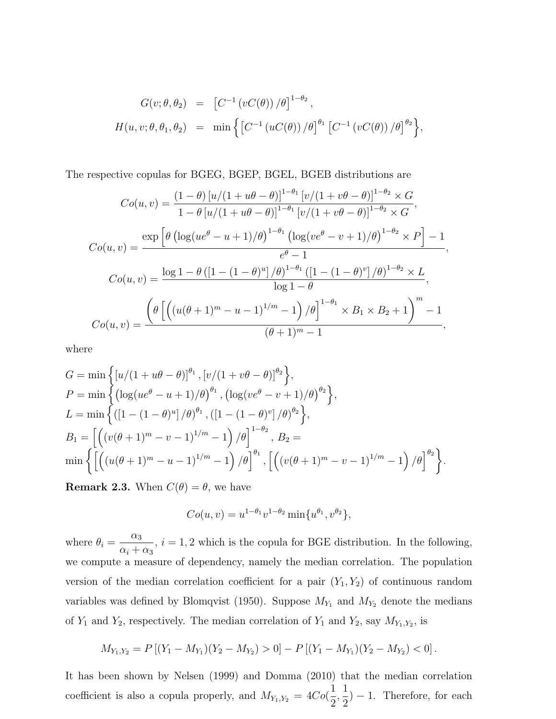$$
G(v; \theta, \theta_2) = [C^{-1} (vC(\theta)) / \theta]^{1-\theta_2},
$$
  

$$
H(u, v; \theta, \theta_1, \theta_2) = \min \left\{ [C^{-1} (uC(\theta)) / \theta]^{ \theta_1} [C^{-1} (vC(\theta)) / \theta]^{ \theta_2} \right\},
$$

The respective copulas for BGEG, BGEP, BGEL, BGEB distributions are

$$
Co(u, v) = \frac{(1 - \theta) [u/(1 + u\theta - \theta)]^{1 - \theta_1} [v/(1 + v\theta - \theta)]^{1 - \theta_2} \times G}{1 - \theta [u/(1 + u\theta - \theta)]^{1 - \theta_1} [v/(1 + v\theta - \theta)]^{1 - \theta_2} \times G},
$$
  
\n
$$
Co(u, v) = \frac{\exp \left[\theta \left(\log(ue^{\theta} - u + 1)/\theta\right)^{1 - \theta_1} \left(\log(ve^{\theta} - v + 1)/\theta\right)^{1 - \theta_2} \times P\right] - 1}{e^{\theta} - 1},
$$
  
\n
$$
Co(u, v) = \frac{\log 1 - \theta \left([1 - (1 - \theta)^u]/\theta\right)^{1 - \theta_1} \left([1 - (1 - \theta)^v]/\theta\right)^{1 - \theta_2} \times L}{\log 1 - \theta},
$$
  
\n
$$
Co(u, v) = \frac{\left(\theta \left[\left((u(\theta + 1)^m - u - 1)^{1/m} - 1\right)/\theta\right]^{1 - \theta_1} \times B_1 \times B_2 + 1\right)^m - 1}{(\theta + 1)^m - 1},
$$

where

$$
G = \min \left\{ [u/(1+u\theta - \theta)]^{\theta_1}, [v/(1+v\theta - \theta)]^{\theta_2} \right\},
$$
  
\n
$$
P = \min \left\{ ( \log(ue^{\theta} - u + 1)/\theta)^{\theta_1}, ( \log(ve^{\theta} - v + 1)/\theta)^{\theta_2} \right\},
$$
  
\n
$$
L = \min \left\{ ( [1 - (1 - \theta)^u] / \theta)^{\theta_1}, ( [1 - (1 - \theta)^v] / \theta)^{\theta_2} \right\},
$$
  
\n
$$
B_1 = \left[ \left( (v(\theta + 1)^m - v - 1)^{1/m} - 1 \right) / \theta \right]^{1-\theta_2}, B_2 =
$$
  
\n
$$
\min \left\{ \left[ \left( (u(\theta + 1)^m - u - 1)^{1/m} - 1 \right) / \theta \right]^{\theta_1}, \left[ \left( (v(\theta + 1)^m - v - 1)^{1/m} - 1 \right) / \theta \right]^{\theta_2} \right\}.
$$

**Remark 2.3.** When  $C(\theta) = \theta$ , we have

$$
Co(u, v) = u^{1-\theta_1}v^{1-\theta_2}\min\{u^{\theta_1}, v^{\theta_2}\},
$$

where  $\theta_i =$  $\alpha_3$  $\alpha_i + \alpha_3$  $i = 1, 2$  which is the copula for BGE distribution. In the following, we compute a measure of dependency, namely the median correlation. The population version of the median correlation coefficient for a pair  $(Y_1, Y_2)$  of continuous random variables was defined by Blomqvist (1950). Suppose  $M_{Y_1}$  and  $M_{Y_2}$  denote the medians of  $Y_1$  and  $Y_2$ , respectively. The median correlation of  $Y_1$  and  $Y_2$ , say  $M_{Y_1,Y_2}$ , is

$$
M_{Y_1,Y_2}=P\left[(Y_1-M_{Y_1})(Y_2-M_{Y_2})>0\right]-P\left[(Y_1-M_{Y_1})(Y_2-M_{Y_2})<0\right].
$$

It has been shown by Nelsen (1999) and Domma (2010) that the median correlation coefficient is also a copula properly, and  $M_{Y_1,Y_2} = 4Co($ 1 2 , 1 2  $) - 1$ . Therefore, for each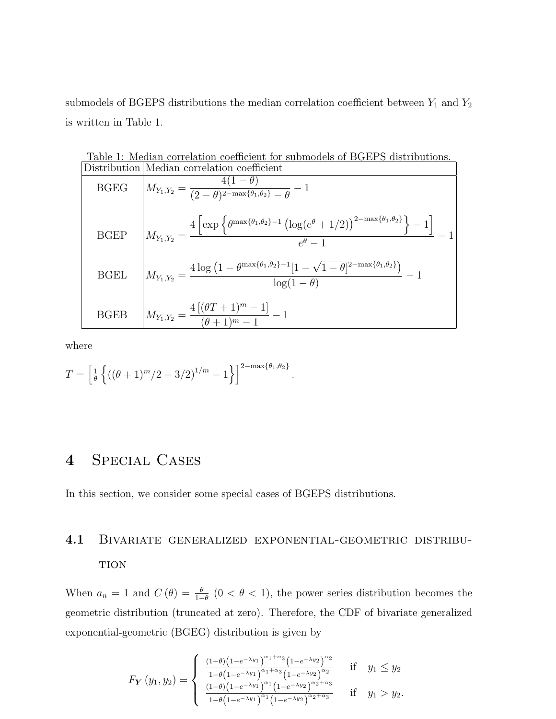submodels of BGEPS distributions the median correlation coefficient between  $Y_1$  and  $Y_2$ is written in Table 1.

| Table 1: Median correlation coefficient for submodels of BGEPS distributions. |                                                                                                                                                                                                  |  |  |  |  |  |  |
|-------------------------------------------------------------------------------|--------------------------------------------------------------------------------------------------------------------------------------------------------------------------------------------------|--|--|--|--|--|--|
|                                                                               | Distribution Median correlation coefficient                                                                                                                                                      |  |  |  |  |  |  |
| <b>BGEG</b>                                                                   | $M_{Y_1,Y_2} = \frac{4(1-\theta)}{(2-\theta)^{2-\max\{\theta_1,\theta_2\}}-\theta}-1$                                                                                                            |  |  |  |  |  |  |
| <b>BGEP</b>                                                                   | $M_{Y_1,Y_2} = \frac{4 \left[ \exp \left\{ \theta^{\max\{\theta_1,\theta_2\}-1} \left( \log(e^{\theta} + 1/2) \right)^{2 - \max\{\theta_1,\theta_2\}} \right\} - 1 \right]}{e^{\theta} - 1} - 1$ |  |  |  |  |  |  |
| BGEL                                                                          | $M_{Y_1,Y_2} = \frac{4 \log \left(1 - \theta^{\max\{\theta_1,\theta_2\}-1}[1-\sqrt{1-\theta}]^{2-\max\{\theta_1,\theta_2\}}\right)}{\log(1-\theta)} - 1$                                         |  |  |  |  |  |  |
| BGEB                                                                          | $M_{Y_1,Y_2} = \frac{4[(\theta T + 1)^m - 1]}{(\theta + 1)^m - 1} - 1$                                                                                                                           |  |  |  |  |  |  |

.

where

$$
T = \left[\frac{1}{\theta}\left\{ \left( (\theta + 1)^m / 2 - 3/2 \right)^{1/m} - 1 \right\} \right]^{2 - \max\{\theta_1, \theta_2\}}
$$

# 4 Special Cases

In this section, we consider some special cases of BGEPS distributions.

# 4.1 Bivariate generalized exponential-geometric distribu-**TION**

When  $a_n = 1$  and  $C(\theta) = \frac{\theta}{1-\theta}$   $(0 < \theta < 1)$ , the power series distribution becomes the geometric distribution (truncated at zero). Therefore, the CDF of bivariate generalized exponential-geometric (BGEG) distribution is given by

$$
F_{\mathbf{Y}}(y_1, y_2) = \begin{cases} \frac{(1-\theta)\left(1-e^{-\lambda y_1}\right)^{\alpha_1+\alpha_3}\left(1-e^{-\lambda y_2}\right)^{\alpha_2}}{1-\theta\left(1-e^{-\lambda y_1}\right)^{\alpha_1+\alpha_3}\left(1-e^{-\lambda y_2}\right)^{\alpha_2}} & \text{if} \quad y_1 \leq y_2\\ \frac{(1-\theta)\left(1-e^{-\lambda y_1}\right)^{\alpha_1}\left(1-e^{-\lambda y_2}\right)^{\alpha_2+\alpha_3}}{1-\theta\left(1-e^{-\lambda y_1}\right)^{\alpha_1}\left(1-e^{-\lambda y_2}\right)^{\alpha_2+\alpha_3}} & \text{if} \quad y_1 > y_2. \end{cases}
$$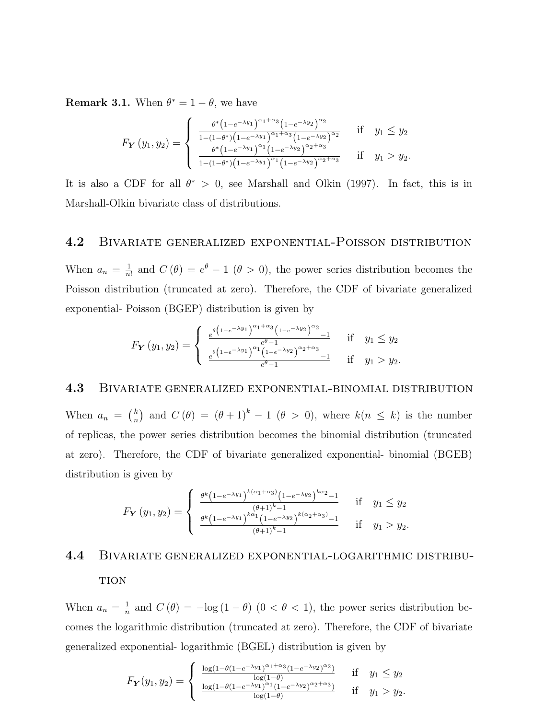**Remark 3.1.** When  $\theta^* = 1 - \theta$ , we have

$$
F_{\mathbf{Y}}(y_1, y_2) = \begin{cases} \n\frac{\theta^* \left(1 - e^{-\lambda y_1}\right)^{\alpha_1 + \alpha_3} \left(1 - e^{-\lambda y_2}\right)^{\alpha_2}}{1 - (1 - \theta^*) \left(1 - e^{-\lambda y_1}\right)^{\alpha_1 + \alpha_3} \left(1 - e^{-\lambda y_2}\right)^{\alpha_2}} & \text{if} \quad y_1 \leq y_2\\ \n\frac{\theta^* \left(1 - e^{-\lambda y_1}\right)^{\alpha_1} \left(1 - e^{-\lambda y_2}\right)^{\alpha_2 + \alpha_3}}{1 - (1 - \theta^*) \left(1 - e^{-\lambda y_1}\right)^{\alpha_1} \left(1 - e^{-\lambda y_2}\right)^{\alpha_2 + \alpha_3}} & \text{if} \quad y_1 > y_2.\n\end{cases}
$$

It is also a CDF for all  $\theta^* > 0$ , see Marshall and Olkin (1997). In fact, this is in Marshall-Olkin bivariate class of distributions.

#### 4.2 Bivariate generalized exponential-Poisson distribution

When  $a_n = \frac{1}{n}$  $\frac{1}{n!}$  and  $C(\theta) = e^{\theta} - 1$   $(\theta > 0)$ , the power series distribution becomes the Poisson distribution (truncated at zero). Therefore, the CDF of bivariate generalized exponential- Poisson (BGEP) distribution is given by

$$
F_Y(y_1, y_2) = \begin{cases} \frac{e^{\theta \left(1 - e^{-\lambda y_1}\right)^{\alpha_1 + \alpha_3} \left(1 - e^{-\lambda y_2}\right)^{\alpha_2} - 1}}{e^{\theta \left(1 - e^{-\lambda y_1}\right)^{\alpha_1} \left(1 - e^{-\lambda y_2}\right)^{\alpha_2 + \alpha_3} - 1}} & \text{if } y_1 \leq y_2\\ \frac{e^{\theta \left(1 - e^{-\lambda y_1}\right)^{\alpha_1} \left(1 - e^{-\lambda y_2}\right)^{\alpha_2 + \alpha_3} - 1}}{e^{\theta - 1}} & \text{if } y_1 > y_2. \end{cases}
$$

#### 4.3 Bivariate generalized exponential-binomial distribution

When  $a_n = \binom{k}{n}$  $\binom{k}{n}$  and  $C(\theta) = (\theta + 1)^k - 1$  ( $\theta > 0$ ), where  $k(n \leq k)$  is the number of replicas, the power series distribution becomes the binomial distribution (truncated at zero). Therefore, the CDF of bivariate generalized exponential- binomial (BGEB) distribution is given by

$$
F_Y(y_1, y_2) = \begin{cases} \frac{\theta^k \left(1 - e^{-\lambda y_1}\right)^{k(\alpha_1 + \alpha_3)} \left(1 - e^{-\lambda y_2}\right)^{k\alpha_2} - 1}{\left(\theta + 1\right)^{k-1}} & \text{if } y_1 \leq y_2\\ \frac{\theta^k \left(1 - e^{-\lambda y_1}\right)^{k\alpha_1} \left(1 - e^{-\lambda y_2}\right)^{k(\alpha_2 + \alpha_3)} - 1}{\left(\theta + 1\right)^{k-1}} & \text{if } y_1 > y_2. \end{cases}
$$

# 4.4 Bivariate generalized exponential-logarithmic distribu-**TION**

When  $a_n = \frac{1}{n}$  $\frac{1}{n}$  and  $C(\theta) = -\log(1-\theta)$   $(0 < \theta < 1)$ , the power series distribution becomes the logarithmic distribution (truncated at zero). Therefore, the CDF of bivariate generalized exponential- logarithmic (BGEL) distribution is given by

$$
F_{\mathbf{Y}}(y_1, y_2) = \begin{cases} \frac{\log(1 - \theta(1 - e^{-\lambda y_1})^{\alpha_1 + \alpha_3}(1 - e^{-\lambda y_2})^{\alpha_2})}{\log(1 - \theta)} & \text{if } y_1 \leq y_2\\ \frac{\log(1 - \theta(1 - e^{-\lambda y_1})^{\alpha_1}(1 - e^{-\lambda y_2})^{\alpha_2 + \alpha_3})}{\log(1 - \theta)} & \text{if } y_1 > y_2. \end{cases}
$$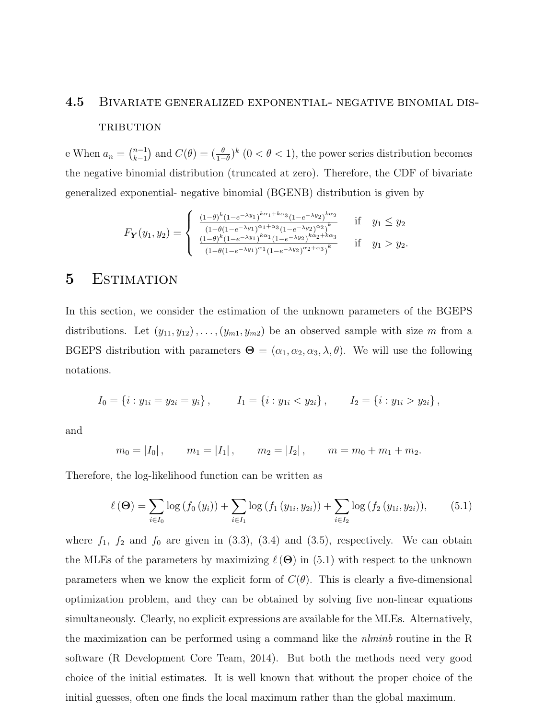# 4.5 Bivariate generalized exponential- negative binomial dis-TRIBUTION

e When  $a_n = \binom{n-1}{k-1}$  ${k-1 \choose k-1}$  and  $C(\theta) = \left(\frac{\theta}{1-\theta}\right)^k (0 < \theta < 1)$ , the power series distribution becomes the negative binomial distribution (truncated at zero). Therefore, the CDF of bivariate generalized exponential- negative binomial (BGENB) distribution is given by

$$
F_{\mathbf{Y}}(y_1, y_2) = \begin{cases} \frac{(1-\theta)^k (1-e^{-\lambda y_1})^{k\alpha_1+k\alpha_3} (1-e^{-\lambda y_2})^{k\alpha_2}}{(1-\theta(1-e^{-\lambda y_1})^{\alpha_1+k\alpha_3} (1-e^{-\lambda y_2})^{\alpha_2})^k} & \text{if } y_1 \leq y_2\\ \frac{(1-\theta)^k (1-e^{-\lambda y_1})^{k\alpha_1} (1-e^{-\lambda y_2})^{k\alpha_2+k\alpha_3}}{(1-\theta(1-e^{-\lambda y_1})^{\alpha_1} (1-e^{-\lambda y_2})^{\alpha_2+\alpha_3})^k} & \text{if } y_1 > y_2. \end{cases}
$$

### 5 ESTIMATION

In this section, we consider the estimation of the unknown parameters of the BGEPS distributions. Let  $(y_{11}, y_{12}), \ldots, (y_{m1}, y_{m2})$  be an observed sample with size m from a BGEPS distribution with parameters  $\mathbf{\Theta} = (\alpha_1, \alpha_2, \alpha_3, \lambda, \theta)$ . We will use the following notations.

$$
I_0 = \{i : y_{1i} = y_{2i} = y_i\}, \qquad I_1 = \{i : y_{1i} < y_{2i}\}, \qquad I_2 = \{i : y_{1i} > y_{2i}\},
$$

and

$$
m_0 = |I_0|
$$
,  $m_1 = |I_1|$ ,  $m_2 = |I_2|$ ,  $m = m_0 + m_1 + m_2$ .

Therefore, the log-likelihood function can be written as

$$
\ell(\mathbf{\Theta}) = \sum_{i \in I_0} \log(f_0(y_i)) + \sum_{i \in I_1} \log(f_1(y_{1i}, y_{2i})) + \sum_{i \in I_2} \log(f_2(y_{1i}, y_{2i})), \quad (5.1)
$$

where  $f_1$ ,  $f_2$  and  $f_0$  are given in (3.3), (3.4) and (3.5), respectively. We can obtain the MLEs of the parameters by maximizing  $\ell(\Theta)$  in (5.1) with respect to the unknown parameters when we know the explicit form of  $C(\theta)$ . This is clearly a five-dimensional optimization problem, and they can be obtained by solving five non-linear equations simultaneously. Clearly, no explicit expressions are available for the MLEs. Alternatively, the maximization can be performed using a command like the  $nlminb$  routine in the R software (R Development Core Team, 2014). But both the methods need very good choice of the initial estimates. It is well known that without the proper choice of the initial guesses, often one finds the local maximum rather than the global maximum.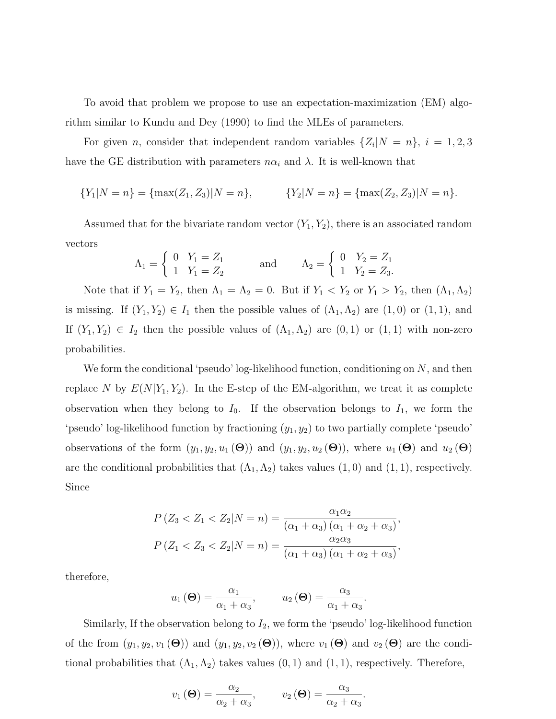To avoid that problem we propose to use an expectation-maximization (EM) algorithm similar to Kundu and Dey (1990) to find the MLEs of parameters.

For given *n*, consider that independent random variables  $\{Z_i | N = n\}, i = 1, 2, 3$ have the GE distribution with parameters  $n\alpha_i$  and  $\lambda$ . It is well-known that

{
$$
Y_1|N = n
$$
} = {max( $Z_1, Z_3$ )| $N = n$ }, { $Y_2|N = n$ } = {max( $Z_2, Z_3$ )| $N = n$ }.

Assumed that for the bivariate random vector  $(Y_1, Y_2)$ , there is an associated random vectors

$$
\Lambda_1 = \begin{cases}\n0 & Y_1 = Z_1 \\
1 & Y_1 = Z_2\n\end{cases}
$$
 and  $\Lambda_2 = \begin{cases}\n0 & Y_2 = Z_1 \\
1 & Y_2 = Z_3\n\end{cases}$ .

Note that if  $Y_1 = Y_2$ , then  $\Lambda_1 = \Lambda_2 = 0$ . But if  $Y_1 < Y_2$  or  $Y_1 > Y_2$ , then  $(\Lambda_1, \Lambda_2)$ is missing. If  $(Y_1, Y_2) \in I_1$  then the possible values of  $(\Lambda_1, \Lambda_2)$  are  $(1, 0)$  or  $(1, 1)$ , and If  $(Y_1, Y_2) \in I_2$  then the possible values of  $(\Lambda_1, \Lambda_2)$  are  $(0, 1)$  or  $(1, 1)$  with non-zero probabilities.

We form the conditional 'pseudo' log-likelihood function, conditioning on  $N$ , and then replace N by  $E(N|Y_1, Y_2)$ . In the E-step of the EM-algorithm, we treat it as complete observation when they belong to  $I_0$ . If the observation belongs to  $I_1$ , we form the 'pseudo' log-likelihood function by fractioning  $(y_1, y_2)$  to two partially complete 'pseudo' observations of the form  $(y_1, y_2, u_1 (\Theta))$  and  $(y_1, y_2, u_2 (\Theta))$ , where  $u_1 (\Theta)$  and  $u_2 (\Theta)$ are the conditional probabilities that  $(\Lambda_1, \Lambda_2)$  takes values  $(1, 0)$  and  $(1, 1)$ , respectively. Since

$$
P(Z_3 < Z_1 < Z_2 | N = n) = \frac{\alpha_1 \alpha_2}{(\alpha_1 + \alpha_3)(\alpha_1 + \alpha_2 + \alpha_3)},
$$
\n
$$
P(Z_1 < Z_3 < Z_2 | N = n) = \frac{\alpha_2 \alpha_3}{(\alpha_1 + \alpha_3)(\alpha_1 + \alpha_2 + \alpha_3)},
$$

therefore,

$$
u_1(\Theta) = \frac{\alpha_1}{\alpha_1 + \alpha_3}, \qquad u_2(\Theta) = \frac{\alpha_3}{\alpha_1 + \alpha_3}.
$$

Similarly, If the observation belong to  $I_2$ , we form the 'pseudo' log-likelihood function of the from  $(y_1, y_2, v_1(\Theta))$  and  $(y_1, y_2, v_2(\Theta))$ , where  $v_1(\Theta)$  and  $v_2(\Theta)$  are the conditional probabilities that  $(\Lambda_1, \Lambda_2)$  takes values  $(0, 1)$  and  $(1, 1)$ , respectively. Therefore,

$$
v_1(\Theta) = \frac{\alpha_2}{\alpha_2 + \alpha_3}, \qquad v_2(\Theta) = \frac{\alpha_3}{\alpha_2 + \alpha_3}.
$$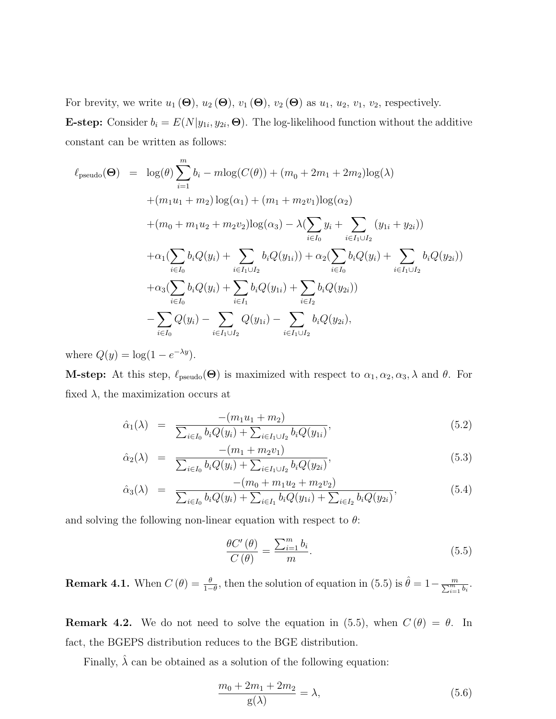For brevity, we write  $u_1(\Theta)$ ,  $u_2(\Theta)$ ,  $v_1(\Theta)$ ,  $v_2(\Theta)$  as  $u_1$ ,  $u_2$ ,  $v_1$ ,  $v_2$ , respectively. **E-step:** Consider  $b_i = E(N|y_{1i}, y_{2i}, \mathbf{\Theta})$ . The log-likelihood function without the additive constant can be written as follows:

$$
\ell_{pseudo}(\Theta) = \log(\theta) \sum_{i=1}^{m} b_i - m \log(C(\theta)) + (m_0 + 2m_1 + 2m_2) \log(\lambda)
$$
  
+  $(m_1u_1 + m_2) \log(\alpha_1) + (m_1 + m_2v_1) \log(\alpha_2)$   
+  $(m_0 + m_1u_2 + m_2v_2) \log(\alpha_3) - \lambda (\sum_{i \in I_0} y_i + \sum_{i \in I_1 \cup I_2} (y_{1i} + y_{2i}))$   
+  $\alpha_1 (\sum_{i \in I_0} b_i Q(y_i) + \sum_{i \in I_1 \cup I_2} b_i Q(y_{1i})) + \alpha_2 (\sum_{i \in I_0} b_i Q(y_i) + \sum_{i \in I_1 \cup I_2} b_i Q(y_{2i}))$   
+  $\alpha_3 (\sum_{i \in I_0} b_i Q(y_i) + \sum_{i \in I_1} b_i Q(y_{1i}) + \sum_{i \in I_2} b_i Q(y_{2i}))$   
-  $\sum_{i \in I_0} Q(y_i) - \sum_{i \in I_1 \cup I_2} Q(y_{1i}) - \sum_{i \in I_1 \cup I_2} b_i Q(y_{2i}),$ 

where  $Q(y) = \log(1 - e^{-\lambda y}).$ 

**M-step:** At this step,  $\ell_{pseudo}(\Theta)$  is maximized with respect to  $\alpha_1, \alpha_2, \alpha_3, \lambda$  and  $\theta$ . For fixed  $\lambda$ , the maximization occurs at

$$
\hat{\alpha}_1(\lambda) = \frac{-(m_1 u_1 + m_2)}{\sum_{i \in I_0} b_i Q(y_i) + \sum_{i \in I_1 \cup I_2} b_i Q(y_{1i})},\tag{5.2}
$$

$$
\hat{\alpha}_2(\lambda) = \frac{-(m_1 + m_2 v_1)}{\sum_{i \in I_0} b_i Q(y_i) + \sum_{i \in I_1 \cup I_2} b_i Q(y_{2i})},\tag{5.3}
$$

$$
\hat{\alpha}_3(\lambda) = \frac{-(m_0 + m_1 u_2 + m_2 v_2)}{\sum_{i \in I_0} b_i Q(y_i) + \sum_{i \in I_1} b_i Q(y_{1i}) + \sum_{i \in I_2} b_i Q(y_{2i})},\tag{5.4}
$$

and solving the following non-linear equation with respect to  $\theta$ :

$$
\frac{\theta C'(\theta)}{C(\theta)} = \frac{\sum_{i=1}^{m} b_i}{m}.
$$
\n(5.5)

**Remark 4.1.** When  $C(\theta) = \frac{\theta}{1-\theta}$ , then the solution of equation in (5.5) is  $\hat{\theta} = 1 - \frac{m}{\sum_{i=1}^{m} b_i}$ .

**Remark 4.2.** We do not need to solve the equation in (5.5), when  $C(\theta) = \theta$ . In fact, the BGEPS distribution reduces to the BGE distribution.

Finally,  $\hat{\lambda}$  can be obtained as a solution of the following equation:

$$
\frac{m_0 + 2m_1 + 2m_2}{g(\lambda)} = \lambda,
$$
\n(5.6)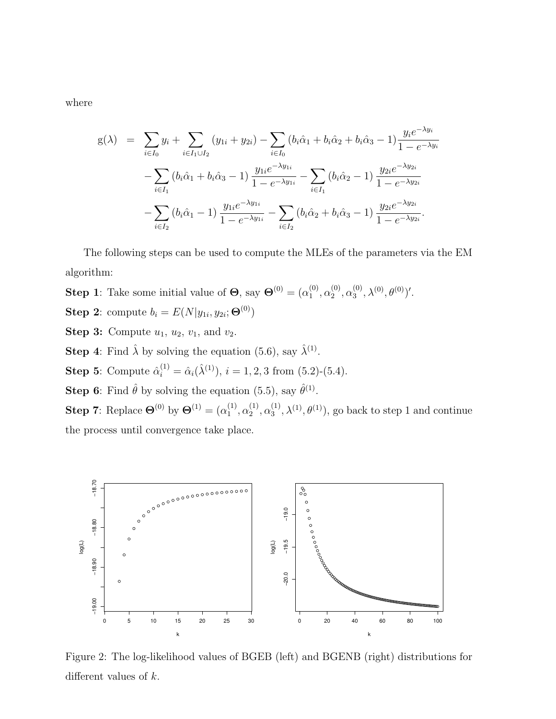where

$$
g(\lambda) = \sum_{i \in I_0} y_i + \sum_{i \in I_1 \cup I_2} (y_{1i} + y_{2i}) - \sum_{i \in I_0} (b_i \hat{\alpha}_1 + b_i \hat{\alpha}_2 + b_i \hat{\alpha}_3 - 1) \frac{y_i e^{-\lambda y_i}}{1 - e^{-\lambda y_i}} - \sum_{i \in I_1} (b_i \hat{\alpha}_1 + b_i \hat{\alpha}_3 - 1) \frac{y_{1i} e^{-\lambda y_{1i}}}{1 - e^{-\lambda y_{1i}}} - \sum_{i \in I_1} (b_i \hat{\alpha}_2 - 1) \frac{y_{2i} e^{-\lambda y_{2i}}}{1 - e^{-\lambda y_{2i}}} - \sum_{i \in I_2} (b_i \hat{\alpha}_1 - 1) \frac{y_{1i} e^{-\lambda y_{1i}}}{1 - e^{-\lambda y_{1i}}} - \sum_{i \in I_2} (b_i \hat{\alpha}_2 + b_i \hat{\alpha}_3 - 1) \frac{y_{2i} e^{-\lambda y_{2i}}}{1 - e^{-\lambda y_{2i}}}.
$$

The following steps can be used to compute the MLEs of the parameters via the EM algorithm:

**Step 1**: Take some initial value of  $\Theta$ , say  $\Theta^{(0)} = (\alpha_1^{(0)})$  $\overset{(0)}{1}, \overset{(0)}{\alpha_2^{(0)}}$  $\overset{(0)}{2}, \overset{(0)}{\alpha_3^2}$  $\mathcal{L}^{(0)}_{3}, \lambda^{(0)}, \theta^{(0)}$  )'. Step 2: compute  $b_i = E(N|y_{1i}, y_{2i}; \Theta^{(0)})$ 

**Step 3:** Compute  $u_1$ ,  $u_2$ ,  $v_1$ , and  $v_2$ .

**Step 4:** Find  $\hat{\lambda}$  by solving the equation (5.6), say  $\hat{\lambda}^{(1)}$ .

**Step 5:** Compute  $\hat{\alpha}_i^{(1)} = \hat{\alpha}_i(\hat{\lambda}^{(1)}), i = 1, 2, 3$  from (5.2)-(5.4).

**Step 6:** Find  $\hat{\theta}$  by solving the equation (5.5), say  $\hat{\theta}^{(1)}$ .

**Step 7**: Replace  $\Theta^{(0)}$  by  $\Theta^{(1)} = (\alpha_1^{(1)})$  $\alpha_1^{(1)}, \alpha_2^{(1)}$  $\alpha_2^{(1)}, \alpha_3^{(1)}$  $\mathcal{L}_3^{(1)}, \lambda^{(1)}, \theta^{(1)}$ , go back to step 1 and continue the process until convergence take place.



Figure 2: The log-likelihood values of BGEB (left) and BGENB (right) distributions for different values of k.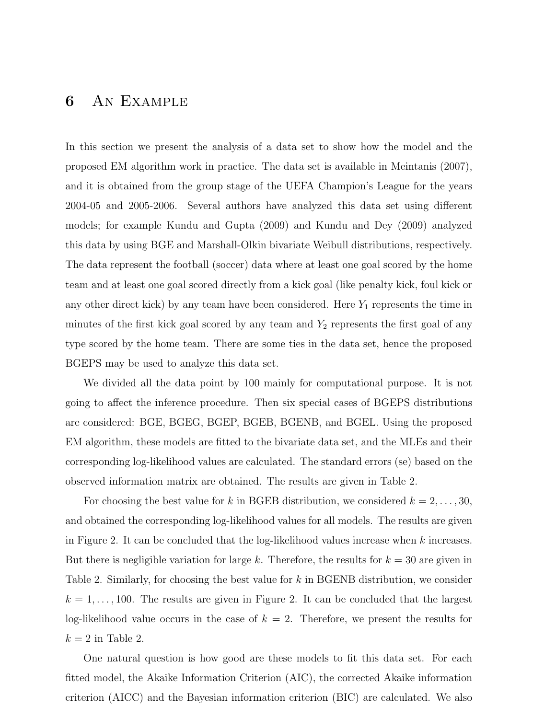## 6 An Example

In this section we present the analysis of a data set to show how the model and the proposed EM algorithm work in practice. The data set is available in Meintanis (2007), and it is obtained from the group stage of the UEFA Champion's League for the years 2004-05 and 2005-2006. Several authors have analyzed this data set using different models; for example Kundu and Gupta (2009) and Kundu and Dey (2009) analyzed this data by using BGE and Marshall-Olkin bivariate Weibull distributions, respectively. The data represent the football (soccer) data where at least one goal scored by the home team and at least one goal scored directly from a kick goal (like penalty kick, foul kick or any other direct kick) by any team have been considered. Here  $Y_1$  represents the time in minutes of the first kick goal scored by any team and  $Y_2$  represents the first goal of any type scored by the home team. There are some ties in the data set, hence the proposed BGEPS may be used to analyze this data set.

We divided all the data point by 100 mainly for computational purpose. It is not going to affect the inference procedure. Then six special cases of BGEPS distributions are considered: BGE, BGEG, BGEP, BGEB, BGENB, and BGEL. Using the proposed EM algorithm, these models are fitted to the bivariate data set, and the MLEs and their corresponding log-likelihood values are calculated. The standard errors (se) based on the observed information matrix are obtained. The results are given in Table 2.

For choosing the best value for k in BGEB distribution, we considered  $k = 2, \ldots, 30$ , and obtained the corresponding log-likelihood values for all models. The results are given in Figure 2. It can be concluded that the log-likelihood values increase when  $k$  increases. But there is negligible variation for large k. Therefore, the results for  $k = 30$  are given in Table 2. Similarly, for choosing the best value for k in BGENB distribution, we consider  $k = 1, \ldots, 100$ . The results are given in Figure 2. It can be concluded that the largest log-likelihood value occurs in the case of  $k = 2$ . Therefore, we present the results for  $k = 2$  in Table 2.

One natural question is how good are these models to fit this data set. For each fitted model, the Akaike Information Criterion (AIC), the corrected Akaike information criterion (AICC) and the Bayesian information criterion (BIC) are calculated. We also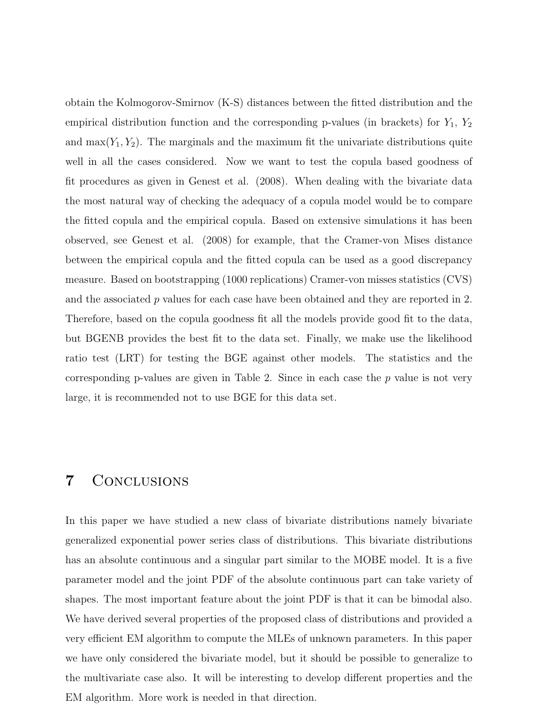obtain the Kolmogorov-Smirnov (K-S) distances between the fitted distribution and the empirical distribution function and the corresponding p-values (in brackets) for  $Y_1$ ,  $Y_2$ and  $\max(Y_1, Y_2)$ . The marginals and the maximum fit the univariate distributions quite well in all the cases considered. Now we want to test the copula based goodness of fit procedures as given in Genest et al. (2008). When dealing with the bivariate data the most natural way of checking the adequacy of a copula model would be to compare the fitted copula and the empirical copula. Based on extensive simulations it has been observed, see Genest et al. (2008) for example, that the Cramer-von Mises distance between the empirical copula and the fitted copula can be used as a good discrepancy measure. Based on bootstrapping (1000 replications) Cramer-von misses statistics (CVS) and the associated  $p$  values for each case have been obtained and they are reported in 2. Therefore, based on the copula goodness fit all the models provide good fit to the data, but BGENB provides the best fit to the data set. Finally, we make use the likelihood ratio test (LRT) for testing the BGE against other models. The statistics and the corresponding p-values are given in Table 2. Since in each case the  $p$  value is not very large, it is recommended not to use BGE for this data set.

#### 7 Conclusions

In this paper we have studied a new class of bivariate distributions namely bivariate generalized exponential power series class of distributions. This bivariate distributions has an absolute continuous and a singular part similar to the MOBE model. It is a five parameter model and the joint PDF of the absolute continuous part can take variety of shapes. The most important feature about the joint PDF is that it can be bimodal also. We have derived several properties of the proposed class of distributions and provided a very efficient EM algorithm to compute the MLEs of unknown parameters. In this paper we have only considered the bivariate model, but it should be possible to generalize to the multivariate case also. It will be interesting to develop different properties and the EM algorithm. More work is needed in that direction.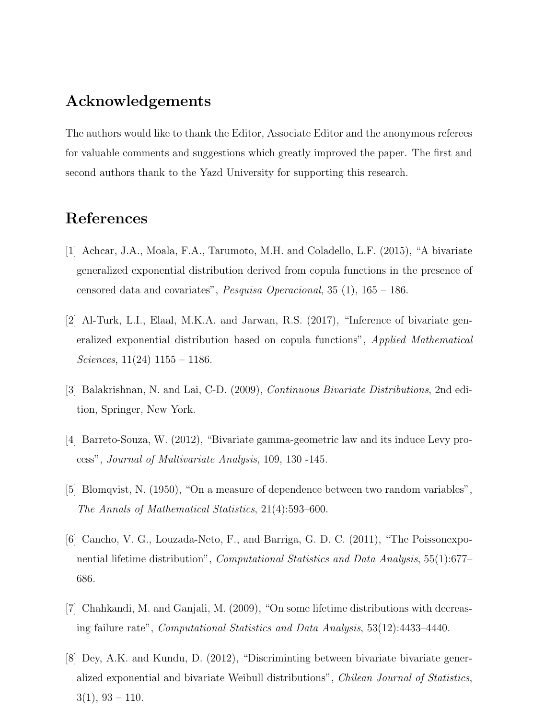# Acknowledgements

The authors would like to thank the Editor, Associate Editor and the anonymous referees for valuable comments and suggestions which greatly improved the paper. The first and second authors thank to the Yazd University for supporting this research.

# References

- [1] Achcar, J.A., Moala, F.A., Tarumoto, M.H. and Coladello, L.F. (2015), "A bivariate generalized exponential distribution derived from copula functions in the presence of censored data and covariates", Pesquisa Operacional, 35 (1), 165 – 186.
- [2] Al-Turk, L.I., Elaal, M.K.A. and Jarwan, R.S. (2017), "Inference of bivariate generalized exponential distribution based on copula functions", Applied Mathematical Sciences,  $11(24)$  1155 – 1186.
- [3] Balakrishnan, N. and Lai, C-D. (2009), Continuous Bivariate Distributions, 2nd edition, Springer, New York.
- [4] Barreto-Souza, W. (2012), "Bivariate gamma-geometric law and its induce Levy process", Journal of Multivariate Analysis, 109, 130 -145.
- [5] Blomqvist, N. (1950), "On a measure of dependence between two random variables", The Annals of Mathematical Statistics, 21(4):593–600.
- [6] Cancho, V. G., Louzada-Neto, F., and Barriga, G. D. C. (2011), "The Poissonexponential lifetime distribution", *Computational Statistics and Data Analysis*, 55(1):677– 686.
- [7] Chahkandi, M. and Ganjali, M. (2009), "On some lifetime distributions with decreasing failure rate", Computational Statistics and Data Analysis, 53(12):4433–4440.
- [8] Dey, A.K. and Kundu, D. (2012), "Discriminting between bivariate bivariate generalized exponential and bivariate Weibull distributions", Chilean Journal of Statistics,  $3(1), 93 - 110.$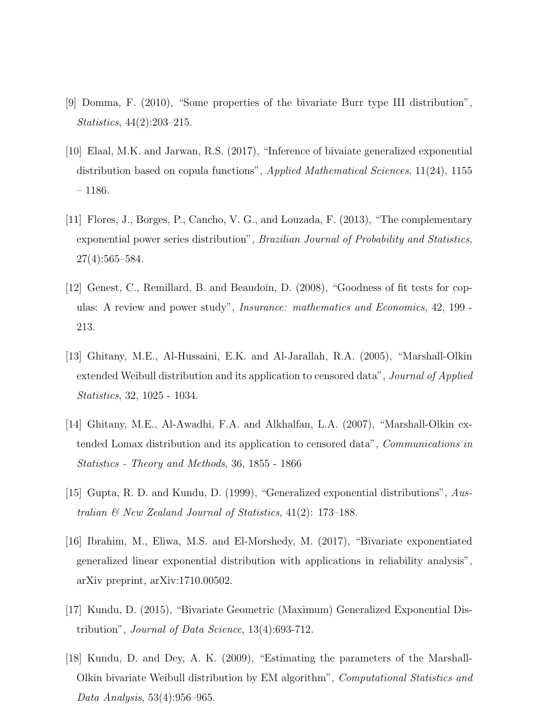- [9] Domma, F. (2010), "Some properties of the bivariate Burr type III distribution", Statistics, 44(2):203–215.
- [10] Elaal, M.K. and Jarwan, R.S. (2017), "Inference of bivaiate generalized exponential distribution based on copula functions", Applied Mathematical Sciences, 11(24), 1155 – 1186.
- [11] Flores, J., Borges, P., Cancho, V. G., and Louzada, F. (2013), "The complementary exponential power series distribution", Brazilian Journal of Probability and Statistics, 27(4):565–584.
- [12] Genest, C., Remillard, B. and Beaudoin, D. (2008), "Goodness of fit tests for copulas: A review and power study", Insurance: mathematics and Economics, 42, 199 - 213.
- [13] Ghitany, M.E., Al-Hussaini, E.K. and Al-Jarallah, R.A. (2005), "Marshall-Olkin extended Weibull distribution and its application to censored data", *Journal of Applied* Statistics, 32, 1025 - 1034.
- [14] Ghitany, M.E., Al-Awadhi, F.A. and Alkhalfan, L.A. (2007), "Marshall-Olkin extended Lomax distribution and its application to censored data", Communications in Statistics - Theory and Methods, 36, 1855 - 1866
- [15] Gupta, R. D. and Kundu, D. (1999), "Generalized exponential distributions", Australian & New Zealand Journal of Statistics, 41(2): 173–188.
- [16] Ibrahim, M., Eliwa, M.S. and El-Morshedy, M. (2017), "Bivariate exponentiated generalized linear exponential distribution with applications in reliability analysis", arXiv preprint, arXiv:1710.00502.
- [17] Kundu, D. (2015), "Bivariate Geometric (Maximum) Generalized Exponential Distribution", Journal of Data Science, 13(4):693-712.
- [18] Kundu, D. and Dey, A. K. (2009), "Estimating the parameters of the Marshall-Olkin bivariate Weibull distribution by EM algorithm", Computational Statistics and Data Analysis, 53(4):956–965.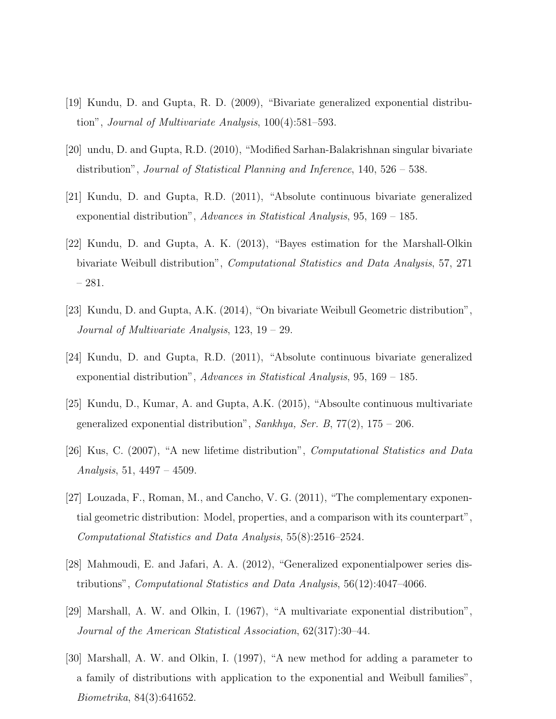- [19] Kundu, D. and Gupta, R. D. (2009), "Bivariate generalized exponential distribution", Journal of Multivariate Analysis, 100(4):581–593.
- [20] undu, D. and Gupta, R.D. (2010), "Modified Sarhan-Balakrishnan singular bivariate distribution", Journal of Statistical Planning and Inference, 140, 526 – 538.
- [21] Kundu, D. and Gupta, R.D. (2011), "Absolute continuous bivariate generalized exponential distribution", Advances in Statistical Analysis,  $95, 169 - 185$ .
- [22] Kundu, D. and Gupta, A. K. (2013), "Bayes estimation for the Marshall-Olkin bivariate Weibull distribution", Computational Statistics and Data Analysis, 57, 271 – 281.
- [23] Kundu, D. and Gupta, A.K. (2014), "On bivariate Weibull Geometric distribution", Journal of Multivariate Analysis, 123, 19 – 29.
- [24] Kundu, D. and Gupta, R.D. (2011), "Absolute continuous bivariate generalized exponential distribution", Advances in Statistical Analysis,  $95, 169 - 185$ .
- [25] Kundu, D., Kumar, A. and Gupta, A.K. (2015), "Absoulte continuous multivariate generalized exponential distribution", Sankhya, Ser. B,  $77(2)$ ,  $175 - 206$ .
- [26] Kus, C. (2007), "A new lifetime distribution", Computational Statistics and Data Analysis, 51,  $4497 - 4509$ .
- [27] Louzada, F., Roman, M., and Cancho, V. G. (2011), "The complementary exponential geometric distribution: Model, properties, and a comparison with its counterpart", Computational Statistics and Data Analysis, 55(8):2516–2524.
- [28] Mahmoudi, E. and Jafari, A. A. (2012), "Generalized exponentialpower series distributions", Computational Statistics and Data Analysis, 56(12):4047–4066.
- [29] Marshall, A. W. and Olkin, I. (1967), "A multivariate exponential distribution", Journal of the American Statistical Association, 62(317):30–44.
- [30] Marshall, A. W. and Olkin, I. (1997), "A new method for adding a parameter to a family of distributions with application to the exponential and Weibull families", Biometrika, 84(3):641652.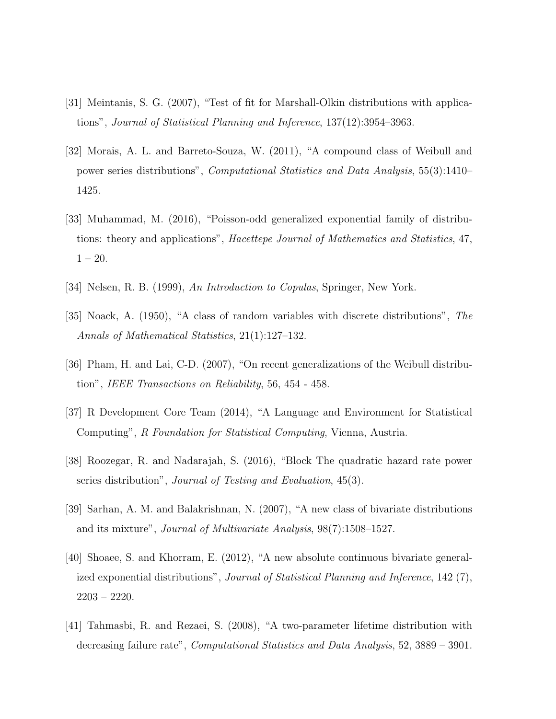- [31] Meintanis, S. G. (2007), "Test of fit for Marshall-Olkin distributions with applications", Journal of Statistical Planning and Inference, 137(12):3954–3963.
- [32] Morais, A. L. and Barreto-Souza, W. (2011), "A compound class of Weibull and power series distributions", Computational Statistics and Data Analysis, 55(3):1410– 1425.
- [33] Muhammad, M. (2016), "Poisson-odd generalized exponential family of distributions: theory and applications", Hacettepe Journal of Mathematics and Statistics, 47,  $1 - 20$ .
- [34] Nelsen, R. B. (1999), An Introduction to Copulas, Springer, New York.
- [35] Noack, A. (1950), "A class of random variables with discrete distributions", The Annals of Mathematical Statistics, 21(1):127–132.
- [36] Pham, H. and Lai, C-D. (2007), "On recent generalizations of the Weibull distribution", IEEE Transactions on Reliability, 56, 454 - 458.
- [37] R Development Core Team (2014), "A Language and Environment for Statistical Computing", R Foundation for Statistical Computing, Vienna, Austria.
- [38] Roozegar, R. and Nadarajah, S. (2016), "Block The quadratic hazard rate power series distribution", Journal of Testing and Evaluation, 45(3).
- [39] Sarhan, A. M. and Balakrishnan, N. (2007), "A new class of bivariate distributions and its mixture", Journal of Multivariate Analysis, 98(7):1508–1527.
- [40] Shoaee, S. and Khorram, E. (2012), "A new absolute continuous bivariate generalized exponential distributions", Journal of Statistical Planning and Inference, 142 (7), 2203 – 2220.
- [41] Tahmasbi, R. and Rezaei, S. (2008), "A two-parameter lifetime distribution with decreasing failure rate", Computational Statistics and Data Analysis, 52, 3889 – 3901.